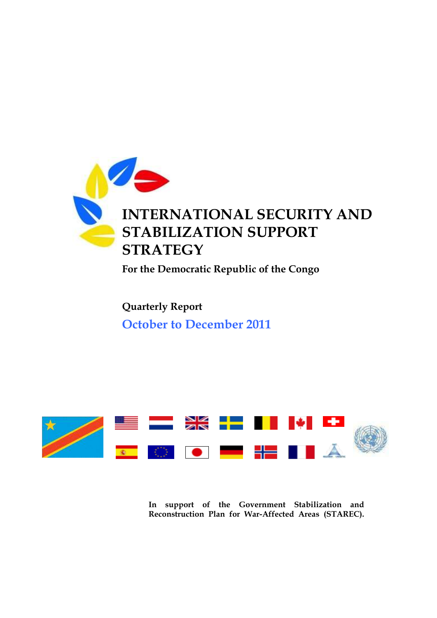

**For the Democratic Republic of the Congo**

**Quarterly Report October to December 2011**



**In support of the Government Stabilization and Reconstruction Plan for War-Affected Areas (STAREC).**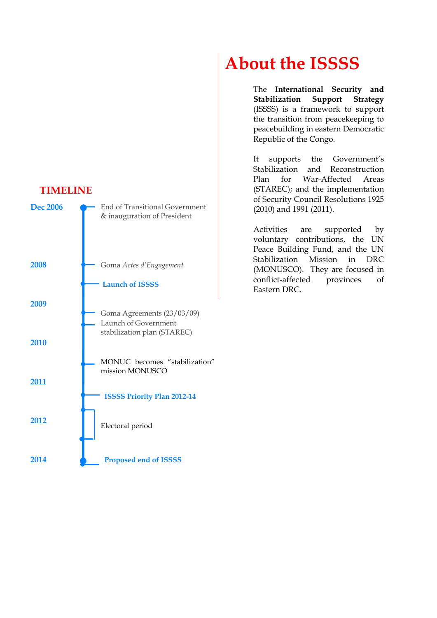#### **TIMELINE**



# **About the ISSSS**

The **International Security and Stabilization Support Strategy** (ISSSS) is a framework to support the transition from peacekeeping to peacebuilding in eastern Democratic Republic of the Congo.

It supports the Government's Stabilization and Reconstruction Plan for War-Affected Areas (STAREC); and the implementation of Security Council Resolutions 1925 (2010) and 1991 (2011).

Activities are supported by voluntary contributions, the UN Peace Building Fund, and the UN Stabilization Mission in DRC (MONUSCO). They are focused in conflict-affected provinces of Eastern DRC.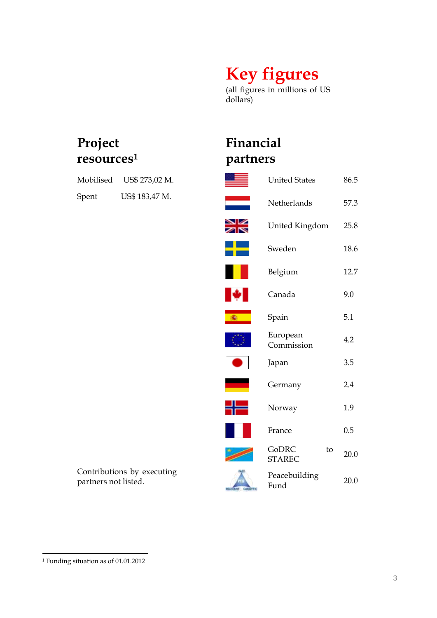# **Key figures**

(all figures in millions of US dollars)

# **Project resources<sup>1</sup>**

| Mobilised | US\$ 273,02 M. |  |  |
|-----------|----------------|--|--|
| Spent     | US\$ 183,47 M. |  |  |

# **Financial partners**

| Mobilised            | US\$ 273,02 M.             |                     | <b>United States</b>         | 86.5 |
|----------------------|----------------------------|---------------------|------------------------------|------|
| Spent                | US\$ 183,47 M.             |                     | Netherlands                  | 57.3 |
|                      |                            | ◛▱                  | United Kingdom               | 25.8 |
|                      |                            |                     | Sweden                       | 18.6 |
|                      |                            |                     | Belgium                      | 12.7 |
|                      |                            |                     | Canada                       | 9.0  |
|                      |                            |                     | Spain                        | 5.1  |
|                      |                            |                     | European<br>Commission       | 4.2  |
|                      |                            |                     | Japan                        | 3.5  |
|                      |                            |                     | Germany                      | 2.4  |
|                      |                            |                     | Norway                       | 1.9  |
|                      |                            |                     | France                       | 0.5  |
|                      |                            |                     | GoDRC<br>to<br><b>STAREC</b> | 20.0 |
| partners not listed. | Contributions by executing | <b>MUZVANT</b> CATE | Peacebuilding<br>Fund        | 20.0 |
|                      |                            |                     |                              |      |

<sup>1</sup> Funding situation as of 01.01.2012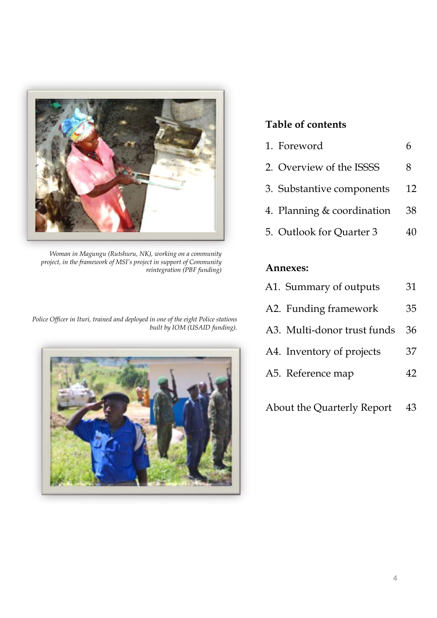

*Woman in Magungu (Rutshuru, NK), working on a community project, in the framework of MSI"s project in support of Community reintegration (PBF funding)*

*Police Officer in Ituri, trained and deployed in one of the eight Police stations built by IOM (USAID funding).* 



## **Table of contents**

| 1. Foreword                |    |
|----------------------------|----|
| 2. Overview of the ISSSS   | 8  |
| 3. Substantive components  | 12 |
| 4. Planning & coordination | 38 |
| 5. Outlook for Quarter 3   | 40 |
|                            |    |

#### **Annexes:**

| A1. Summary of outputs      | 31  |
|-----------------------------|-----|
| A2. Funding framework       | 35  |
| A3. Multi-donor trust funds | 36  |
| A4. Inventory of projects   | 37  |
| A5. Reference map           | 42. |

About the Quarterly Report 43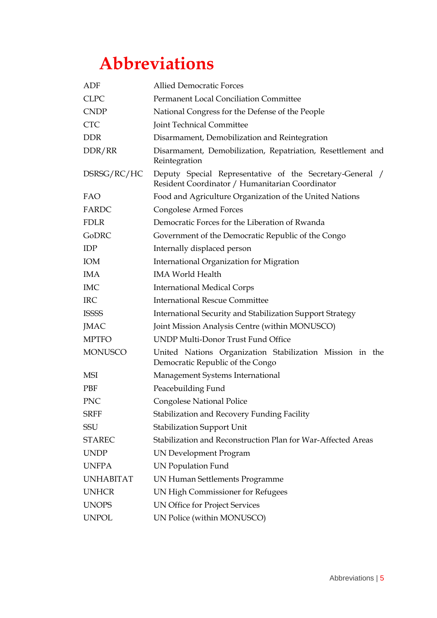# **Abbreviations**

| ADF              | <b>Allied Democratic Forces</b>                                                                             |  |  |  |  |  |
|------------------|-------------------------------------------------------------------------------------------------------------|--|--|--|--|--|
| <b>CLPC</b>      | <b>Permanent Local Conciliation Committee</b>                                                               |  |  |  |  |  |
| <b>CNDP</b>      | National Congress for the Defense of the People                                                             |  |  |  |  |  |
| <b>CTC</b>       | Joint Technical Committee                                                                                   |  |  |  |  |  |
| <b>DDR</b>       | Disarmament, Demobilization and Reintegration                                                               |  |  |  |  |  |
| DDR/RR           | Disarmament, Demobilization, Repatriation, Resettlement and<br>Reintegration                                |  |  |  |  |  |
| DSRSG/RC/HC      | Deputy Special Representative of the Secretary-General /<br>Resident Coordinator / Humanitarian Coordinator |  |  |  |  |  |
| FAO              | Food and Agriculture Organization of the United Nations                                                     |  |  |  |  |  |
| FARDC            | <b>Congolese Armed Forces</b>                                                                               |  |  |  |  |  |
| <b>FDLR</b>      | Democratic Forces for the Liberation of Rwanda                                                              |  |  |  |  |  |
| <b>GoDRC</b>     | Government of the Democratic Republic of the Congo                                                          |  |  |  |  |  |
| <b>IDP</b>       | Internally displaced person                                                                                 |  |  |  |  |  |
| IOM              | <b>International Organization for Migration</b>                                                             |  |  |  |  |  |
| <b>IMA</b>       | <b>IMA World Health</b>                                                                                     |  |  |  |  |  |
| <b>IMC</b>       | <b>International Medical Corps</b>                                                                          |  |  |  |  |  |
| <b>IRC</b>       | <b>International Rescue Committee</b>                                                                       |  |  |  |  |  |
| <b>ISSSS</b>     | International Security and Stabilization Support Strategy                                                   |  |  |  |  |  |
| <b>JMAC</b>      | Joint Mission Analysis Centre (within MONUSCO)                                                              |  |  |  |  |  |
| <b>MPTFO</b>     | UNDP Multi-Donor Trust Fund Office                                                                          |  |  |  |  |  |
| <b>MONUSCO</b>   | United Nations Organization Stabilization Mission in the<br>Democratic Republic of the Congo                |  |  |  |  |  |
| MSI              | Management Systems International                                                                            |  |  |  |  |  |
| <b>PBF</b>       | Peacebuilding Fund                                                                                          |  |  |  |  |  |
| <b>PNC</b>       | <b>Congolese National Police</b>                                                                            |  |  |  |  |  |
| <b>SRFF</b>      | Stabilization and Recovery Funding Facility                                                                 |  |  |  |  |  |
| SSU              | <b>Stabilization Support Unit</b>                                                                           |  |  |  |  |  |
| <b>STAREC</b>    | Stabilization and Reconstruction Plan for War-Affected Areas                                                |  |  |  |  |  |
| <b>UNDP</b>      | <b>UN Development Program</b>                                                                               |  |  |  |  |  |
| <b>UNFPA</b>     | <b>UN Population Fund</b>                                                                                   |  |  |  |  |  |
| <b>UNHABITAT</b> | UN Human Settlements Programme                                                                              |  |  |  |  |  |
| <b>UNHCR</b>     | UN High Commissioner for Refugees                                                                           |  |  |  |  |  |
| <b>UNOPS</b>     | UN Office for Project Services                                                                              |  |  |  |  |  |
| <b>UNPOL</b>     | UN Police (within MONUSCO)                                                                                  |  |  |  |  |  |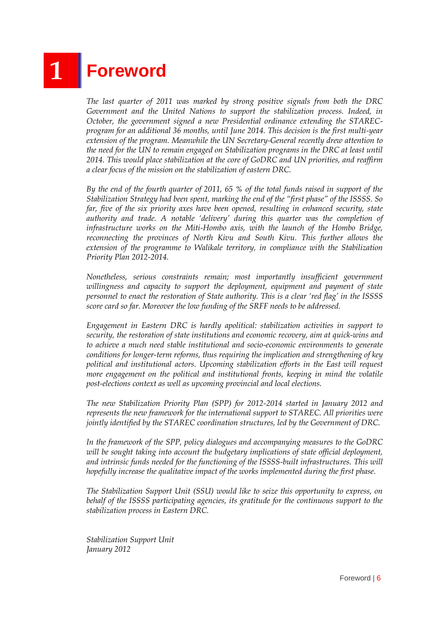# **1 Foreword**

*The last quarter of 2011 was marked by strong positive signals from both the DRC Government and the United Nations to support the stabilization process. Indeed, in October, the government signed a new Presidential ordinance extending the STARECprogram for an additional 36 months, until June 2014. This decision is the first multi-year extension of the program. Meanwhile the UN Secretary-General recently drew attention to the need for the UN to remain engaged on Stabilization programs in the DRC at least until 2014. This would place stabilization at the core of GoDRC and UN priorities, and reaffirm a clear focus of the mission on the stabilization of eastern DRC.* 

*By the end of the fourth quarter of 2011, 65 % of the total funds raised in support of the Stabilization Strategy had been spent, marking the end of the "first phase" of the ISSSS. So far, five of the six priority axes have been opened, resulting in enhanced security, state authority and trade. A notable "delivery" during this quarter was the completion of infrastructure works on the Miti-Hombo axis, with the launch of the Hombo Bridge, reconnecting the provinces of North Kivu and South Kivu. This further allows the extension of the programme to Walikale territory, in compliance with the Stabilization Priority Plan 2012-2014.*

*Nonetheless, serious constraints remain; most importantly insufficient government willingness and capacity to support the deployment, equipment and payment of state personnel to enact the restoration of State authority. This is a clear 'red flag' in the ISSSS score card so far. Moreover the low funding of the SRFF needs to be addressed.*

*Engagement in Eastern DRC is hardly apolitical: stabilization activities in support to security, the restoration of state institutions and economic recovery, aim at quick-wins and to achieve a much need stable institutional and socio-economic environments to generate conditions for longer-term reforms, thus requiring the implication and strengthening of key political and institutional actors. Upcoming stabilization efforts in the East will request more engagement on the political and institutional fronts, keeping in mind the volatile post-elections context as well as upcoming provincial and local elections.* 

*The new Stabilization Priority Plan (SPP) for 2012-2014 started in January 2012 and represents the new framework for the international support to STAREC. All priorities were jointly identified by the STAREC coordination structures, led by the Government of DRC.* 

*In the framework of the SPP, policy dialogues and accompanying measures to the GoDRC will be sought taking into account the budgetary implications of state official deployment, and intrinsic funds needed for the functioning of the ISSSS-built infrastructures. This will hopefully increase the qualitative impact of the works implemented during the first phase.* 

*The Stabilization Support Unit (SSU) would like to seize this opportunity to express, on behalf of the ISSSS participating agencies, its gratitude for the continuous support to the stabilization process in Eastern DRC.*

*Stabilization Support Unit January 2012*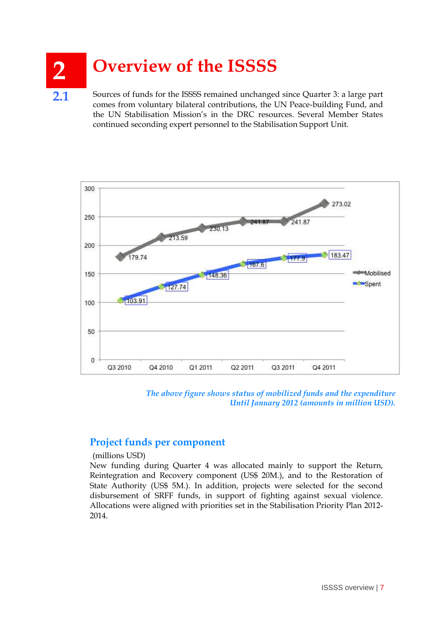# **2 Overview of the ISSSS**

**2.1** Sources of funds for the ISSSS remained unchanged since Quarter 3: a large part comes from voluntary bilateral contributions, the UN Peace-building Fund, and the UN Stabilisation Mission"s in the DRC resources. Several Member States continued seconding expert personnel to the Stabilisation Support Unit.



*The above figure shows status of mobilized funds and the expenditure Until January 2012 (amounts in million USD).* 

#### **Project funds per component**

(millions USD)

New funding during Quarter 4 was allocated mainly to support the Return, Reintegration and Recovery component (US\$ 20M.), and to the Restoration of State Authority (US\$ 5M.). In addition, projects were selected for the second disbursement of SRFF funds, in support of fighting against sexual violence. Allocations were aligned with priorities set in the Stabilisation Priority Plan 2012- 2014.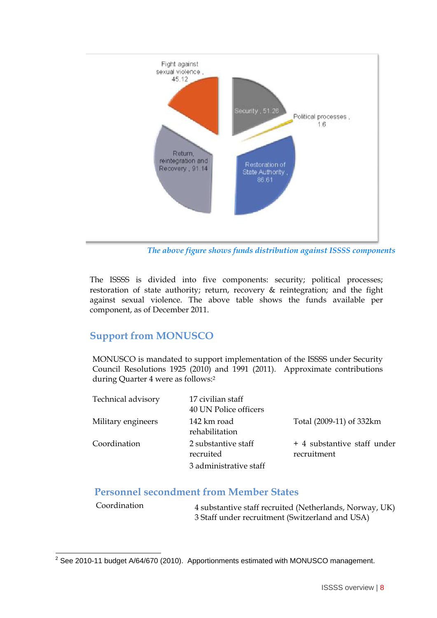

*The above figure shows funds distribution against ISSSS components*

The ISSSS is divided into five components: security; political processes; restoration of state authority; return, recovery & reintegration; and the fight against sexual violence. The above table shows the funds available per component, as of December 2011.

### **Support from MONUSCO**

MONUSCO is mandated to support implementation of the ISSSS under Security Council Resolutions 1925 (2010) and 1991 (2011). Approximate contributions during Quarter 4 were as follows:<sup>2</sup>

| Technical advisory | 17 civilian staff<br>40 UN Police officers |                                            |
|--------------------|--------------------------------------------|--------------------------------------------|
| Military engineers | 142 km road<br>rehabilitation              | Total (2009-11) of 332km                   |
| Coordination       | 2 substantive staff<br>recruited           | + 4 substantive staff under<br>recruitment |
|                    | 3 administrative staff                     |                                            |

#### **Personnel secondment from Member States**

| Coordination | 4 substantive staff recruited (Netherlands, Norway, UK) |
|--------------|---------------------------------------------------------|
|              | 3 Staff under recruitment (Switzerland and USA)         |

  $2$  See 2010-11 budget A/64/670 (2010). Apportionments estimated with MONUSCO management.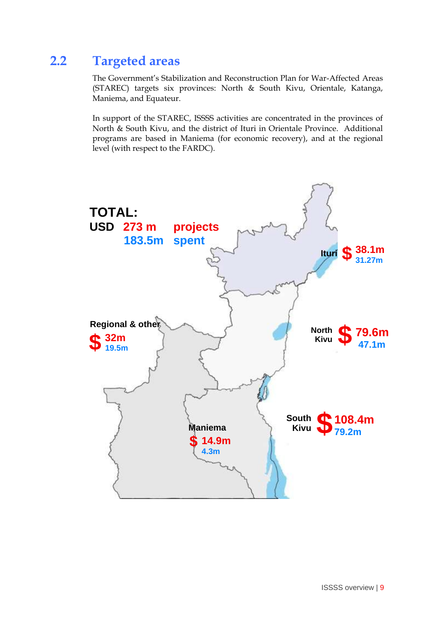# **2.2 Targeted areas**

The Government's Stabilization and Reconstruction Plan for War-Affected Areas (STAREC) targets six provinces: North & South Kivu, Orientale, Katanga, Maniema, and Equateur.

In support of the STAREC, ISSSS activities are concentrated in the provinces of North & South Kivu, and the district of Ituri in Orientale Province. Additional programs are based in Maniema (for economic recovery), and at the regional level (with respect to the FARDC).

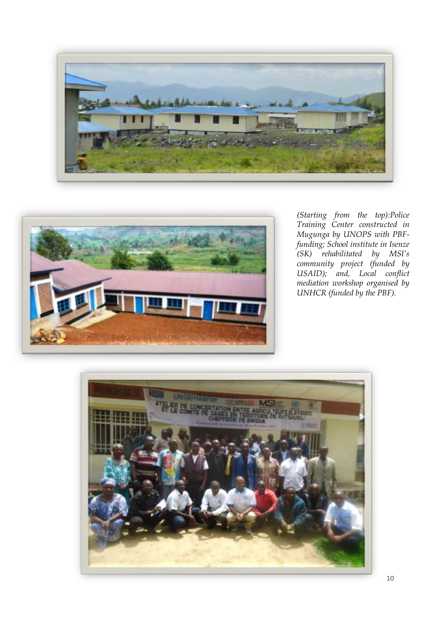



*(Starting from the top):Police Training Center constructed in Mugunga by UNOPS with PBFfunding; School institute in Isenze (SK) rehabilitated by MSI"s community project (funded by USAID); and, Local conflict mediation workshop organised by UNHCR (funded by the PBF).* 

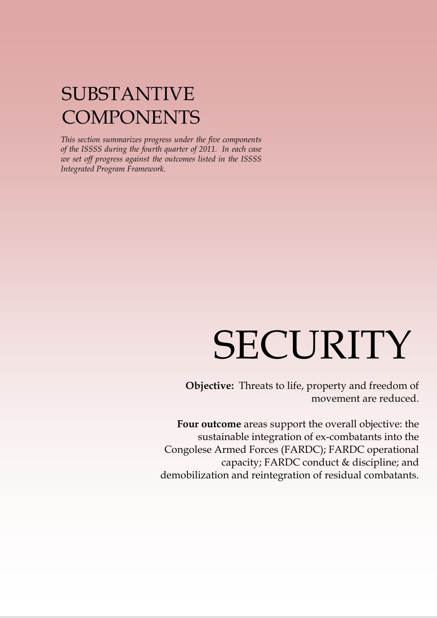# SUBSTANTIVE **COMPONENTS**

*This section summarizes progress under the five components of the ISSSS during the fourth quarter of 2011. In each case we set off progress against the outcomes listed in the ISSSS Integrated Program Framework.*

# SECURITY

**Objective:** Threats to life, property and freedom of movement are reduced.

> **Four outcome** areas support the overall objective: the sustainable integration of ex-combatants into the Congolese Armed Forces (FARDC); FARDC operational capacity; FARDC conduct & discipline; and demobilization and reintegration of residual combatants.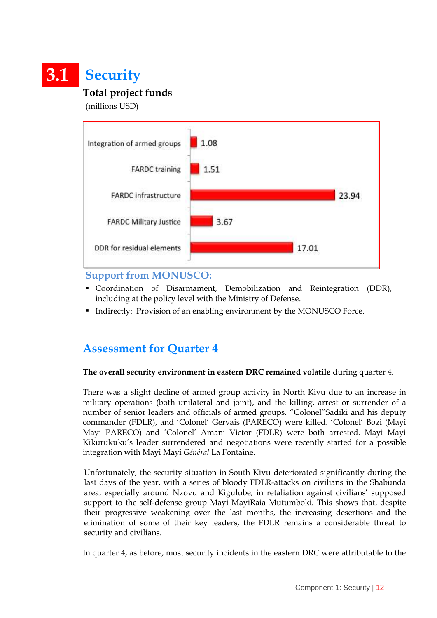# **3.1 Security**

## **Total project funds**

(millions USD)

![](_page_11_Figure_3.jpeg)

#### **Support from MONUSCO:**

- Coordination of Disarmament, Demobilization and Reintegration (DDR), including at the policy level with the Ministry of Defense.
- Indirectly: Provision of an enabling environment by the MONUSCO Force.

## **Assessment for Quarter 4**

#### **The overall security environment in eastern DRC remained volatile** during quarter 4.

There was a slight decline of armed group activity in North Kivu due to an increase in military operations (both unilateral and joint), and the killing, arrest or surrender of a number of senior leaders and officials of armed groups. "Colonel"Sadiki and his deputy commander (FDLR), and "Colonel" Gervais (PARECO) were killed. "Colonel" Bozi (Mayi Mayi PARECO) and "Colonel" Amani Victor (FDLR) were both arrested. Mayi Mayi Kikurukuku"s leader surrendered and negotiations were recently started for a possible integration with Mayi Mayi *Général* La Fontaine.

Unfortunately, the security situation in South Kivu deteriorated significantly during the last days of the year, with a series of bloody FDLR-attacks on civilians in the Shabunda area, especially around Nzovu and Kigulube, in retaliation against civilians" supposed support to the self-defense group Mayi MayiRaia Mutumboki. This shows that, despite their progressive weakening over the last months, the increasing desertions and the elimination of some of their key leaders, the FDLR remains a considerable threat to security and civilians.

In quarter 4, as before, most security incidents in the eastern DRC were attributable to the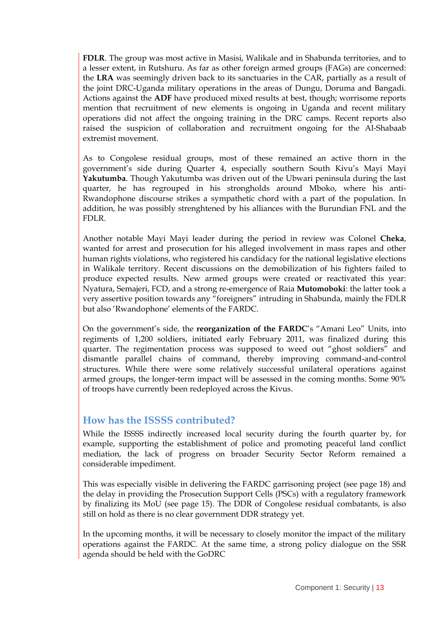**FDLR**. The group was most active in Masisi, Walikale and in Shabunda territories, and to a lesser extent, in Rutshuru. As far as other foreign armed groups (FAGs) are concerned: the **LRA** was seemingly driven back to its sanctuaries in the CAR, partially as a result of the joint DRC-Uganda military operations in the areas of Dungu, Doruma and Bangadi. Actions against the **ADF** have produced mixed results at best, though; worrisome reports mention that recruitment of new elements is ongoing in Uganda and recent military operations did not affect the ongoing training in the DRC camps. Recent reports also raised the suspicion of collaboration and recruitment ongoing for the Al-Shabaab extremist movement.

As to Congolese residual groups, most of these remained an active thorn in the government's side during Quarter 4, especially southern South Kivu's Mayi Mayi **Yakutumba**. Though Yakutumba was driven out of the Ubwari peninsula during the last quarter, he has regrouped in his strongholds around Mboko, where his anti-Rwandophone discourse strikes a sympathetic chord with a part of the population. In addition, he was possibly strenghtened by his alliances with the Burundian FNL and the FDLR.

Another notable Mayi Mayi leader during the period in review was Colonel **Cheka**, wanted for arrest and prosecution for his alleged involvement in mass rapes and other human rights violations, who registered his candidacy for the national legislative elections in Walikale territory. Recent discussions on the demobilization of his fighters failed to produce expected results. New armed groups were created or reactivated this year: Nyatura, Semajeri, FCD, and a strong re-emergence of Raia **Mutomoboki**: the latter took a very assertive position towards any "foreigners" intruding in Shabunda, mainly the FDLR but also "Rwandophone" elements of the FARDC.

On the government's side, the **reorganization of the FARDC**'s "Amani Leo" Units, into regiments of 1,200 soldiers, initiated early February 2011, was finalized during this quarter. The regimentation process was supposed to weed out "ghost soldiers" and dismantle parallel chains of command, thereby improving command-and-control structures. While there were some relatively successful unilateral operations against armed groups, the longer-term impact will be assessed in the coming months. Some 90% of troops have currently been redeployed across the Kivus.

#### **How has the ISSSS contributed?**

While the ISSSS indirectly increased local security during the fourth quarter by, for example, supporting the establishment of police and promoting peaceful land conflict mediation, the lack of progress on broader Security Sector Reform remained a considerable impediment.

This was especially visible in delivering the FARDC garrisoning project (see page 18) and the delay in providing the Prosecution Support Cells (PSCs) with a regulatory framework by finalizing its MoU (see page 15). The DDR of Congolese residual combatants, is also still on hold as there is no clear government DDR strategy yet.

In the upcoming months, it will be necessary to closely monitor the impact of the military operations against the FARDC. At the same time, a strong policy dialogue on the SSR agenda should be held with the GoDRC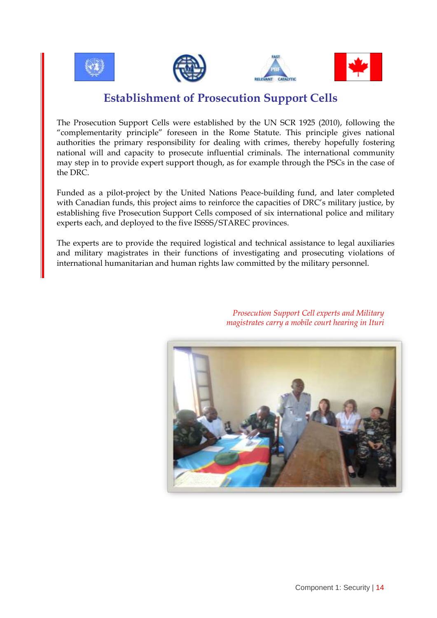![](_page_13_Picture_0.jpeg)

## **Establishment of Prosecution Support Cells**

The Prosecution Support Cells were established by the UN SCR 1925 (2010), following the "complementarity principle" foreseen in the Rome Statute. This principle gives national authorities the primary responsibility for dealing with crimes, thereby hopefully fostering national will and capacity to prosecute influential criminals. The international community may step in to provide expert support though, as for example through the PSCs in the case of the DRC.

Funded as a pilot-project by the United Nations Peace-building fund, and later completed with Canadian funds, this project aims to reinforce the capacities of DRC"s military justice, by establishing five Prosecution Support Cells composed of six international police and military experts each, and deployed to the five ISSSS/STAREC provinces.

The experts are to provide the required logistical and technical assistance to legal auxiliaries and military magistrates in their functions of investigating and prosecuting violations of international humanitarian and human rights law committed by the military personnel.

![](_page_13_Picture_5.jpeg)

*Prosecution Support Cell experts and Military magistrates carry a mobile court hearing in Ituri*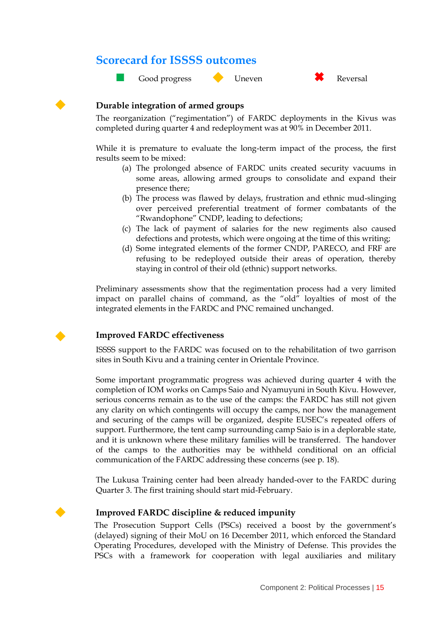### **Scorecard for ISSSS outcomes**

![](_page_14_Picture_1.jpeg)

![](_page_14_Picture_4.jpeg)

#### **Durable integration of armed groups**

The reorganization ("regimentation") of FARDC deployments in the Kivus was completed during quarter 4 and redeployment was at 90% in December 2011.

While it is premature to evaluate the long-term impact of the process, the first results seem to be mixed:

- (a) The prolonged absence of FARDC units created security vacuums in some areas, allowing armed groups to consolidate and expand their presence there;
- (b) The process was flawed by delays, frustration and ethnic mud-slinging over perceived preferential treatment of former combatants of the "Rwandophone" CNDP, leading to defections;
- (c) The lack of payment of salaries for the new regiments also caused defections and protests, which were ongoing at the time of this writing;
- (d) Some integrated elements of the former CNDP, PARECO, and FRF are refusing to be redeployed outside their areas of operation, thereby staying in control of their old (ethnic) support networks.

Preliminary assessments show that the regimentation process had a very limited impact on parallel chains of command, as the "old" loyalties of most of the integrated elements in the FARDC and PNC remained unchanged.

![](_page_14_Picture_13.jpeg)

#### **Improved FARDC effectiveness**

ISSSS support to the FARDC was focused on to the rehabilitation of two garrison sites in South Kivu and a training center in Orientale Province.

Some important programmatic progress was achieved during quarter 4 with the completion of IOM works on Camps Saio and Nyamuyuni in South Kivu. However, serious concerns remain as to the use of the camps: the FARDC has still not given any clarity on which contingents will occupy the camps, nor how the management and securing of the camps will be organized, despite EUSEC"s repeated offers of support. Furthermore, the tent camp surrounding camp Saio is in a deplorable state, and it is unknown where these military families will be transferred. The handover of the camps to the authorities may be withheld conditional on an official communication of the FARDC addressing these concerns (see p. 18).

The Lukusa Training center had been already handed-over to the FARDC during Quarter 3. The first training should start mid-February.

#### **Improved FARDC discipline & reduced impunity**

The Prosecution Support Cells (PSCs) received a boost by the government's (delayed) signing of their MoU on 16 December 2011, which enforced the Standard Operating Procedures, developed with the Ministry of Defense. This provides the PSCs with a framework for cooperation with legal auxiliaries and military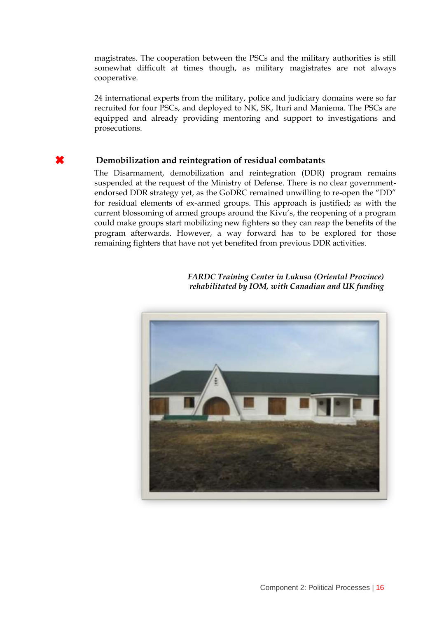magistrates. The cooperation between the PSCs and the military authorities is still somewhat difficult at times though, as military magistrates are not always cooperative.

24 international experts from the military, police and judiciary domains were so far recruited for four PSCs, and deployed to NK, SK, Ituri and Maniema. The PSCs are equipped and already providing mentoring and support to investigations and prosecutions.

#### **Demobilization and reintegration of residual combatants**

The Disarmament, demobilization and reintegration (DDR) program remains suspended at the request of the Ministry of Defense. There is no clear governmentendorsed DDR strategy yet, as the GoDRC remained unwilling to re-open the "DD" for residual elements of ex-armed groups. This approach is justified; as with the current blossoming of armed groups around the Kivu"s, the reopening of a program could make groups start mobilizing new fighters so they can reap the benefits of the program afterwards. However, a way forward has to be explored for those remaining fighters that have not yet benefited from previous DDR activities.

![](_page_15_Picture_4.jpeg)

 *FARDC Training Center in Lukusa (Oriental Province) rehabilitated by IOM, with Canadian and UK funding*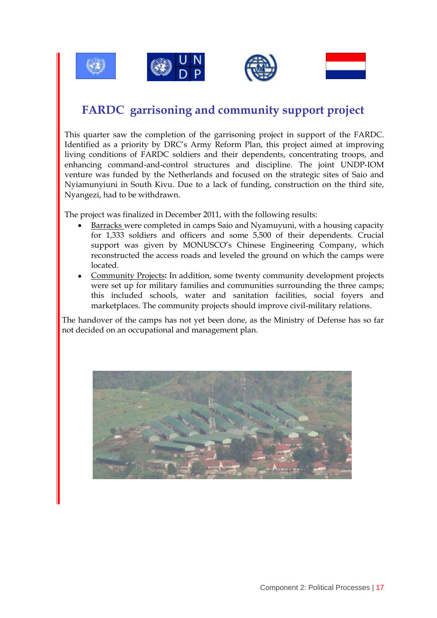![](_page_16_Picture_0.jpeg)

![](_page_16_Picture_1.jpeg)

![](_page_16_Picture_2.jpeg)

![](_page_16_Picture_3.jpeg)

# **FARDC garrisoning and community support project**

This quarter saw the completion of the garrisoning project in support of the FARDC. Identified as a priority by DRC"s Army Reform Plan, this project aimed at improving living conditions of FARDC soldiers and their dependents, concentrating troops, and enhancing command-and-control structures and discipline. The joint UNDP-IOM venture was funded by the Netherlands and focused on the strategic sites of Saio and Nyiamunyiuni in South Kivu. Due to a lack of funding, construction on the third site, Nyangezi, had to be withdrawn.

The project was finalized in December 2011, with the following results:

- Barracks were completed in camps Saio and Nyamuyuni, with a housing capacity for 1,333 soldiers and officers and some 5,500 of their dependents. Crucial support was given by MONUSCO's Chinese Engineering Company, which reconstructed the access roads and leveled the ground on which the camps were located.
- Community Projects**:** In addition, some twenty community development projects were set up for military families and communities surrounding the three camps; this included schools, water and sanitation facilities, social foyers and marketplaces. The community projects should improve civil-military relations.

The handover of the camps has not yet been done, as the Ministry of Defense has so far not decided on an occupational and management plan.

![](_page_16_Picture_10.jpeg)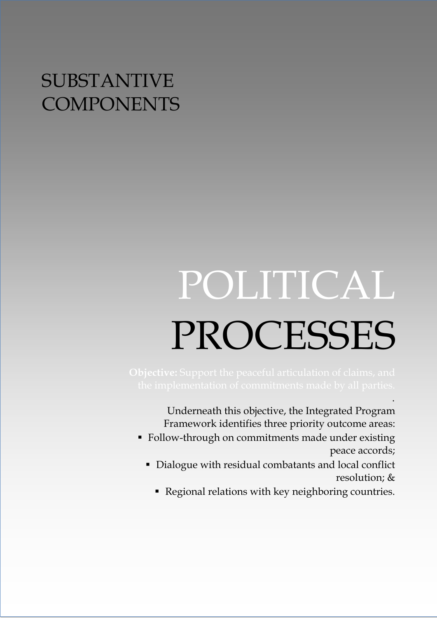# SUBSTANTIVE **COMPONENTS**

# POLITICAL PROCESSES

Underneath this objective, the Integrated Program Framework identifies three priority outcome areas:

.

- Follow-through on commitments made under existing peace accords;
	- Dialogue with residual combatants and local conflict resolution; &
		- Regional relations with key neighboring countries.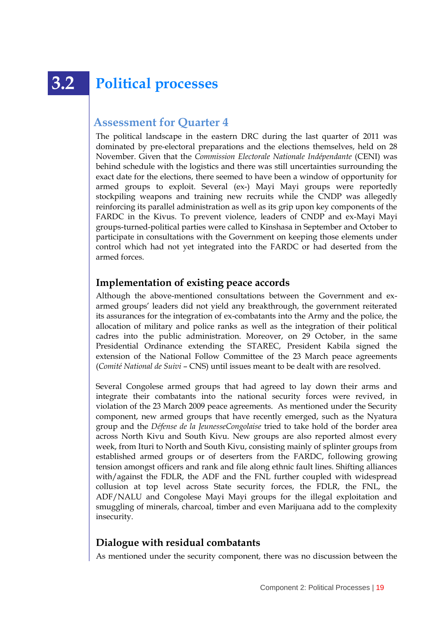# **3.2 Political processes**

## **Assessment for Quarter 4**

The political landscape in the eastern DRC during the last quarter of 2011 was dominated by pre-electoral preparations and the elections themselves, held on 28 November. Given that the *Commission Electorale Nationale Indépendante* (CENI) was behind schedule with the logistics and there was still uncertainties surrounding the exact date for the elections, there seemed to have been a window of opportunity for armed groups to exploit. Several (ex-) Mayi Mayi groups were reportedly stockpiling weapons and training new recruits while the CNDP was allegedly reinforcing its parallel administration as well as its grip upon key components of the FARDC in the Kivus. To prevent violence, leaders of CNDP and ex-Mayi Mayi groups-turned-political parties were called to Kinshasa in September and October to participate in consultations with the Government on keeping those elements under control which had not yet integrated into the FARDC or had deserted from the armed forces.

#### **Implementation of existing peace accords**

Although the above-mentioned consultations between the Government and exarmed groups" leaders did not yield any breakthrough, the government reiterated its assurances for the integration of ex-combatants into the Army and the police, the allocation of military and police ranks as well as the integration of their political cadres into the public administration. Moreover, on 29 October, in the same Presidential Ordinance extending the STAREC, President Kabila signed the extension of the National Follow Committee of the 23 March peace agreements (*Comité National de Suivi* – CNS) until issues meant to be dealt with are resolved.

Several Congolese armed groups that had agreed to lay down their arms and integrate their combatants into the national security forces were revived, in violation of the 23 March 2009 peace agreements. As mentioned under the Security component, new armed groups that have recently emerged, such as the Nyatura group and the *Défense de la JeunesseCongolaise* tried to take hold of the border area across North Kivu and South Kivu. New groups are also reported almost every week, from Ituri to North and South Kivu, consisting mainly of splinter groups from established armed groups or of deserters from the FARDC, following growing tension amongst officers and rank and file along ethnic fault lines. Shifting alliances with/against the FDLR, the ADF and the FNL further coupled with widespread collusion at top level across State security forces, the FDLR, the FNL, the ADF/NALU and Congolese Mayi Mayi groups for the illegal exploitation and smuggling of minerals, charcoal, timber and even Marijuana add to the complexity insecurity.

#### **Dialogue with residual combatants**

As mentioned under the security component, there was no discussion between the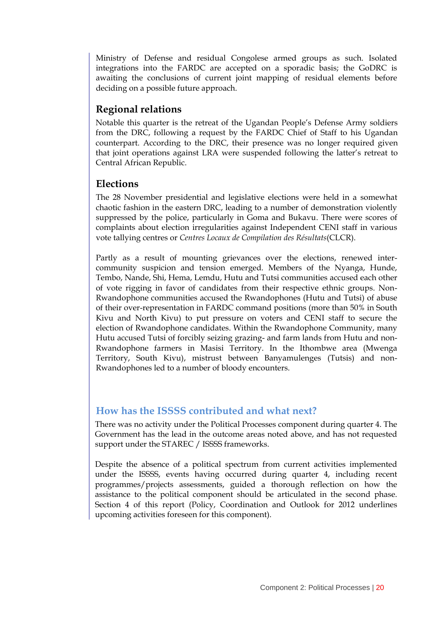Ministry of Defense and residual Congolese armed groups as such. Isolated integrations into the FARDC are accepted on a sporadic basis; the GoDRC is awaiting the conclusions of current joint mapping of residual elements before deciding on a possible future approach.

### **Regional relations**

Notable this quarter is the retreat of the Ugandan People"s Defense Army soldiers from the DRC, following a request by the FARDC Chief of Staff to his Ugandan counterpart. According to the DRC, their presence was no longer required given that joint operations against LRA were suspended following the latter"s retreat to Central African Republic.

### **Elections**

The 28 November presidential and legislative elections were held in a somewhat chaotic fashion in the eastern DRC, leading to a number of demonstration violently suppressed by the police, particularly in Goma and Bukavu. There were scores of complaints about election irregularities against Independent CENI staff in various vote tallying centres or *Centres Locaux de Compilation des Résultats*(CLCR).

Partly as a result of mounting grievances over the elections, renewed intercommunity suspicion and tension emerged. Members of the Nyanga, Hunde, Tembo, Nande, Shi, Hema, Lemdu, Hutu and Tutsi communities accused each other of vote rigging in favor of candidates from their respective ethnic groups. Non-Rwandophone communities accused the Rwandophones (Hutu and Tutsi) of abuse of their over-representation in FARDC command positions (more than 50% in South Kivu and North Kivu) to put pressure on voters and CENI staff to secure the election of Rwandophone candidates. Within the Rwandophone Community, many Hutu accused Tutsi of forcibly seizing grazing- and farm lands from Hutu and non-Rwandophone farmers in Masisi Territory. In the Ithombwe area (Mwenga Territory, South Kivu), mistrust between Banyamulenges (Tutsis) and non-Rwandophones led to a number of bloody encounters.

#### **How has the ISSSS contributed and what next?**

There was no activity under the Political Processes component during quarter 4. The Government has the lead in the outcome areas noted above, and has not requested support under the STAREC / ISSSS frameworks.

Despite the absence of a political spectrum from current activities implemented under the ISSSS, events having occurred during quarter 4, including recent programmes/projects assessments, guided a thorough reflection on how the assistance to the political component should be articulated in the second phase. Section 4 of this report (Policy, Coordination and Outlook for 2012 underlines upcoming activities foreseen for this component).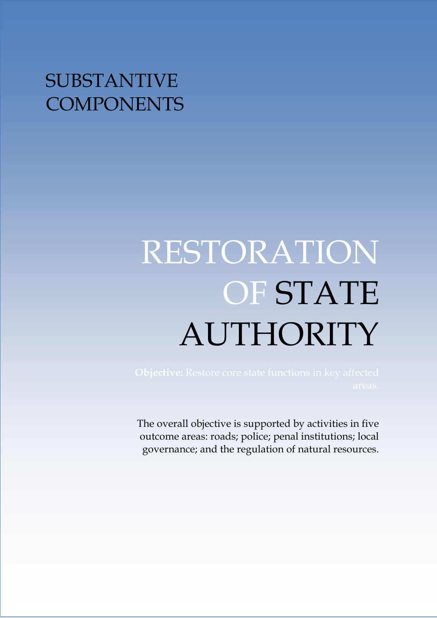# SUBSTANTIVE **COMPONENTS**

# RESTORATION OF STATE AUTHORITY

The overall objective is supported by activities in five outcome areas: roads; police; penal institutions; local governance; and the regulation of natural resources.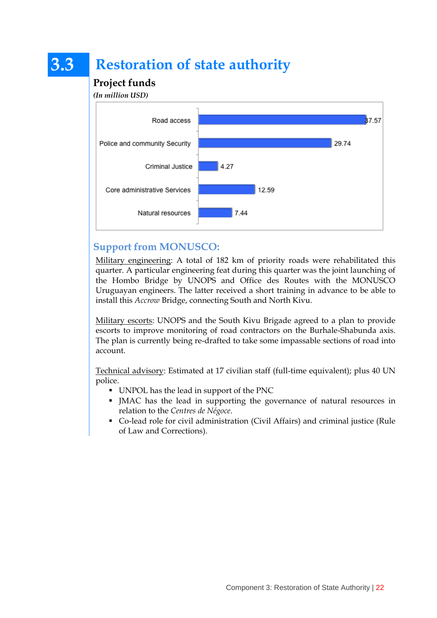# **3.3 Restoration of state authority**

## **Project funds**

*(In million USD)*

![](_page_21_Figure_3.jpeg)

### **Support from MONUSCO:**

Military engineering: A total of 182 km of priority roads were rehabilitated this quarter. A particular engineering feat during this quarter was the joint launching of the Hombo Bridge by UNOPS and Office des Routes with the MONUSCO Uruguayan engineers. The latter received a short training in advance to be able to install this *Accrow* Bridge, connecting South and North Kivu.

Military escorts: UNOPS and the South Kivu Brigade agreed to a plan to provide escorts to improve monitoring of road contractors on the Burhale-Shabunda axis. The plan is currently being re-drafted to take some impassable sections of road into account.

Technical advisory: Estimated at 17 civilian staff (full-time equivalent); plus 40 UN police.

- UNPOL has the lead in support of the PNC
- JMAC has the lead in supporting the governance of natural resources in relation to the *Centres de Négoce*.
- Co-lead role for civil administration (Civil Affairs) and criminal justice (Rule of Law and Corrections).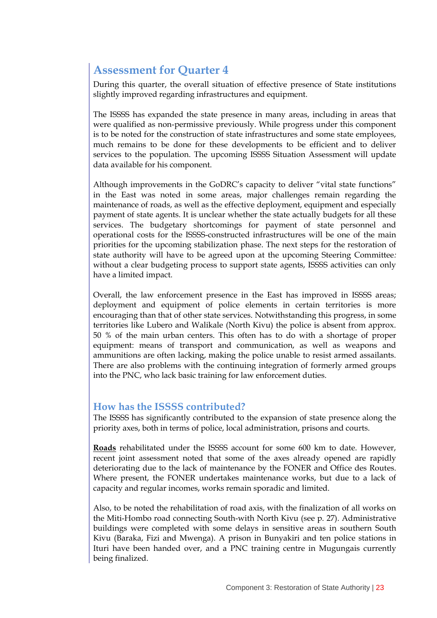## **Assessment for Quarter 4**

During this quarter, the overall situation of effective presence of State institutions slightly improved regarding infrastructures and equipment.

The ISSSS has expanded the state presence in many areas, including in areas that were qualified as non-permissive previously. While progress under this component is to be noted for the construction of state infrastructures and some state employees, much remains to be done for these developments to be efficient and to deliver services to the population. The upcoming ISSSS Situation Assessment will update data available for his component.

Although improvements in the GoDRC"s capacity to deliver "vital state functions" in the East was noted in some areas, major challenges remain regarding the maintenance of roads, as well as the effective deployment, equipment and especially payment of state agents. It is unclear whether the state actually budgets for all these services. The budgetary shortcomings for payment of state personnel and operational costs for the ISSSS-constructed infrastructures will be one of the main priorities for the upcoming stabilization phase. The next steps for the restoration of state authority will have to be agreed upon at the upcoming Steering Committee*:* without a clear budgeting process to support state agents, ISSSS activities can only have a limited impact.

Overall, the law enforcement presence in the East has improved in ISSSS areas; deployment and equipment of police elements in certain territories is more encouraging than that of other state services. Notwithstanding this progress, in some territories like Lubero and Walikale (North Kivu) the police is absent from approx. 50 % of the main urban centers. This often has to do with a shortage of proper equipment: means of transport and communication, as well as weapons and ammunitions are often lacking, making the police unable to resist armed assailants. There are also problems with the continuing integration of formerly armed groups into the PNC, who lack basic training for law enforcement duties.

#### **How has the ISSSS contributed?**

The ISSSS has significantly contributed to the expansion of state presence along the priority axes, both in terms of police, local administration, prisons and courts.

**Roads** rehabilitated under the ISSSS account for some 600 km to date. However, recent joint assessment noted that some of the axes already opened are rapidly deteriorating due to the lack of maintenance by the FONER and Office des Routes. Where present, the FONER undertakes maintenance works, but due to a lack of capacity and regular incomes, works remain sporadic and limited.

Also, to be noted the rehabilitation of road axis, with the finalization of all works on the Miti-Hombo road connecting South-with North Kivu (see p. 27). Administrative buildings were completed with some delays in sensitive areas in southern South Kivu (Baraka, Fizi and Mwenga). A prison in Bunyakiri and ten police stations in Ituri have been handed over, and a PNC training centre in Mugungais currently being finalized.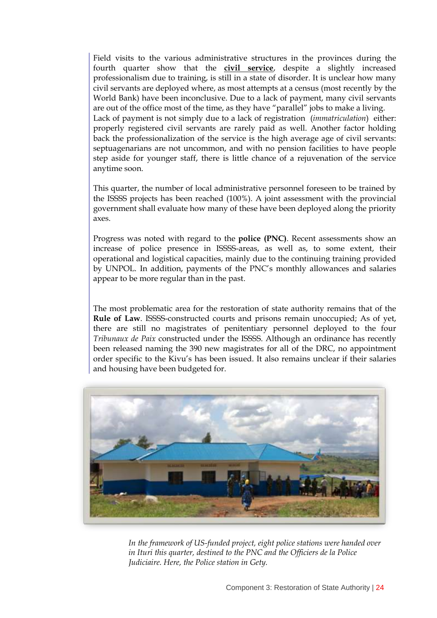Field visits to the various administrative structures in the provinces during the fourth quarter show that the **civil service**, despite a slightly increased professionalism due to training, is still in a state of disorder. It is unclear how many civil servants are deployed where, as most attempts at a census (most recently by the World Bank) have been inconclusive. Due to a lack of payment, many civil servants are out of the office most of the time, as they have "parallel" jobs to make a living. Lack of payment is not simply due to a lack of registration (*immatriculation*) either: properly registered civil servants are rarely paid as well. Another factor holding back the professionalization of the service is the high average age of civil servants: septuagenarians are not uncommon, and with no pension facilities to have people step aside for younger staff, there is little chance of a rejuvenation of the service anytime soon.

This quarter, the number of local administrative personnel foreseen to be trained by the ISSSS projects has been reached (100%). A joint assessment with the provincial government shall evaluate how many of these have been deployed along the priority axes.

Progress was noted with regard to the **police (PNC)**. Recent assessments show an increase of police presence in ISSSS-areas, as well as, to some extent, their operational and logistical capacities, mainly due to the continuing training provided by UNPOL. In addition, payments of the PNC"s monthly allowances and salaries appear to be more regular than in the past.

The most problematic area for the restoration of state authority remains that of the **Rule of Law**. ISSSS-constructed courts and prisons remain unoccupied; As of yet, there are still no magistrates of penitentiary personnel deployed to the four *Tribunaux de Paix* constructed under the ISSSS. Although an ordinance has recently been released naming the 390 new magistrates for all of the DRC, no appointment order specific to the Kivu"s has been issued. It also remains unclear if their salaries and housing have been budgeted for.

![](_page_23_Picture_4.jpeg)

*In the framework of US-funded project, eight police stations were handed over in Ituri this quarter, destined to the PNC and the Officiers de la Police Judiciaire. Here, the Police station in Gety.*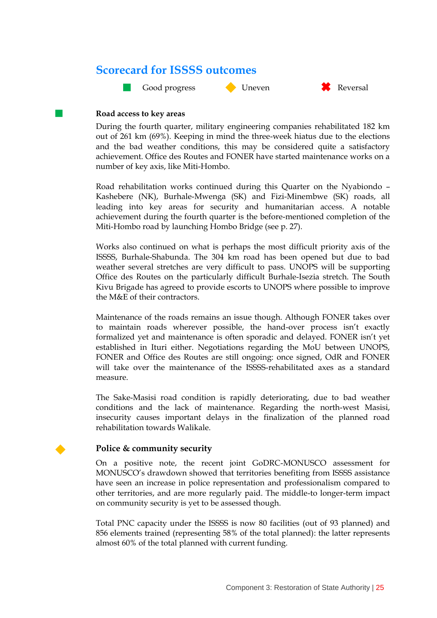## **Scorecard for ISSSS outcomes**

**Cood progress Cood Exercise Cood progress** Cood Direction Cool and Reversal

![](_page_24_Picture_2.jpeg)

![](_page_24_Picture_3.jpeg)

#### **Road access to key areas**

During the fourth quarter, military engineering companies rehabilitated 182 km out of 261 km (69%). Keeping in mind the three-week hiatus due to the elections and the bad weather conditions, this may be considered quite a satisfactory achievement. Office des Routes and FONER have started maintenance works on a number of key axis, like Miti-Hombo.

Road rehabilitation works continued during this Quarter on the Nyabiondo – Kashebere (NK), Burhale-Mwenga (SK) and Fizi-Minembwe (SK) roads, all leading into key areas for security and humanitarian access. A notable achievement during the fourth quarter is the before-mentioned completion of the Miti-Hombo road by launching Hombo Bridge (see p. 27).

Works also continued on what is perhaps the most difficult priority axis of the ISSSS, Burhale-Shabunda. The 304 km road has been opened but due to bad weather several stretches are very difficult to pass. UNOPS will be supporting Office des Routes on the particularly difficult Burhale-Isezia stretch. The South Kivu Brigade has agreed to provide escorts to UNOPS where possible to improve the M&E of their contractors.

Maintenance of the roads remains an issue though. Although FONER takes over to maintain roads wherever possible, the hand-over process isn"t exactly formalized yet and maintenance is often sporadic and delayed. FONER isn"t yet established in Ituri either. Negotiations regarding the MoU between UNOPS, FONER and Office des Routes are still ongoing: once signed, OdR and FONER will take over the maintenance of the ISSSS-rehabilitated axes as a standard measure.

The Sake-Masisi road condition is rapidly deteriorating, due to bad weather conditions and the lack of maintenance. Regarding the north-west Masisi, insecurity causes important delays in the finalization of the planned road rehabilitation towards Walikale.

#### **Police & community security**

On a positive note, the recent joint GoDRC-MONUSCO assessment for MONUSCO"s drawdown showed that territories benefiting from ISSSS assistance have seen an increase in police representation and professionalism compared to other territories, and are more regularly paid. The middle-to longer-term impact on community security is yet to be assessed though.

Total PNC capacity under the ISSSS is now 80 facilities (out of 93 planned) and 856 elements trained (representing 58% of the total planned): the latter represents almost 60% of the total planned with current funding.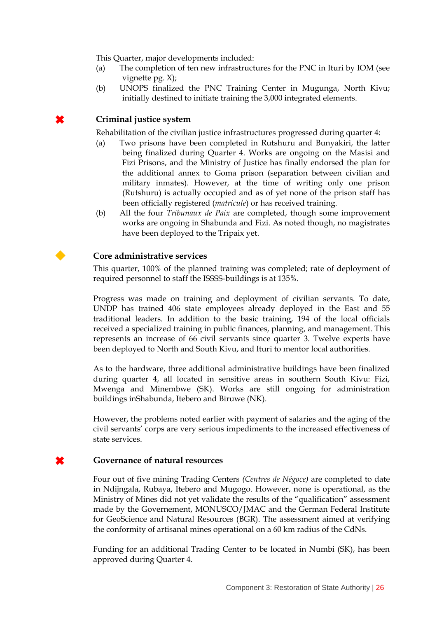This Quarter, major developments included:

- (a) The completion of ten new infrastructures for the PNC in Ituri by IOM (see vignette pg. X);
- (b) UNOPS finalized the PNC Training Center in Mugunga, North Kivu; initially destined to initiate training the 3,000 integrated elements.

#### **Criminal justice system**

Rehabilitation of the civilian justice infrastructures progressed during quarter 4:

- (a) Two prisons have been completed in Rutshuru and Bunyakiri, the latter being finalized during Quarter 4. Works are ongoing on the Masisi and Fizi Prisons, and the Ministry of Justice has finally endorsed the plan for the additional annex to Goma prison (separation between civilian and military inmates). However, at the time of writing only one prison (Rutshuru) is actually occupied and as of yet none of the prison staff has been officially registered (*matricule*) or has received training.
- (b) All the four *Tribunaux de Paix* are completed, though some improvement works are ongoing in Shabunda and Fizi. As noted though, no magistrates have been deployed to the Tripaix yet.

#### **Core administrative services**

This quarter, 100% of the planned training was completed; rate of deployment of required personnel to staff the ISSSS-buildings is at 135%.

Progress was made on training and deployment of civilian servants. To date, UNDP has trained 406 state employees already deployed in the East and 55 traditional leaders. In addition to the basic training, 194 of the local officials received a specialized training in public finances, planning, and management. This represents an increase of 66 civil servants since quarter 3. Twelve experts have been deployed to North and South Kivu, and Ituri to mentor local authorities.

As to the hardware, three additional administrative buildings have been finalized during quarter 4, all located in sensitive areas in southern South Kivu: Fizi, Mwenga and Minembwe (SK). Works are still ongoing for administration buildings inShabunda, Itebero and Biruwe (NK).

However, the problems noted earlier with payment of salaries and the aging of the civil servants" corps are very serious impediments to the increased effectiveness of state services.

#### **Governance of natural resources**

Four out of five mining Trading Centers *(Centres de Négoce)* are completed to date in Ndijngala, Rubaya, Itebero and Mugogo. However, none is operational, as the Ministry of Mines did not yet validate the results of the "qualification" assessment made by the Governement, MONUSCO/JMAC and the German Federal Institute for GeoScience and Natural Resources (BGR). The assessment aimed at verifying the conformity of artisanal mines operational on a 60 km radius of the CdNs.

Funding for an additional Trading Center to be located in Numbi (SK), has been approved during Quarter 4.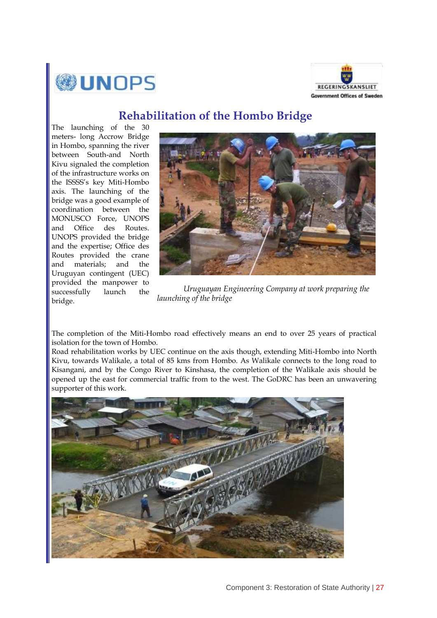![](_page_26_Picture_0.jpeg)

![](_page_26_Picture_1.jpeg)

## **Rehabilitation of the Hombo Bridge**

The launching of the 30 meters- long Accrow Bridge in Hombo, spanning the river between South-and North Kivu signaled the completion of the infrastructure works on the ISSSS"s key Miti-Hombo axis. The launching of the bridge was a good example of coordination between the MONUSCO Force, UNOPS and Office des Routes. UNOPS provided the bridge and the expertise; Office des Routes provided the crane and materials; and the Uruguyan contingent (UEC) provided the manpower to successfully launch the bridge.

![](_page_26_Picture_4.jpeg)

 *Uruguayan Engineering Company at work preparing the launching of the bridge*

The completion of the Miti-Hombo road effectively means an end to over 25 years of practical isolation for the town of Hombo.

Road rehabilitation works by UEC continue on the axis though, extending Miti-Hombo into North Kivu, towards Walikale, a total of 85 kms from Hombo. As Walikale connects to the long road to Kisangani, and by the Congo River to Kinshasa, the completion of the Walikale axis should be opened up the east for commercial traffic from to the west. The GoDRC has been an unwavering supporter of this work.

![](_page_26_Picture_8.jpeg)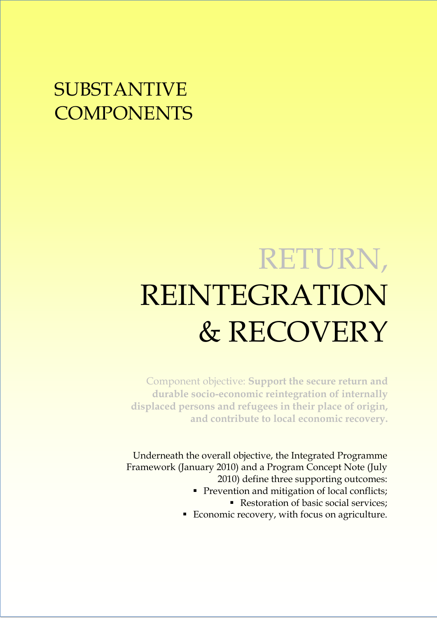# SUBSTANTIVE **COMPONENTS**

# RETURN, REINTEGRATION & RECOVERY

Component objective: **Support the secure return and durable socio-economic reintegration of internally displaced persons and refugees in their place of origin, and contribute to local economic recovery.**

Underneath the overall objective, the Integrated Programme Framework (January 2010) and a Program Concept Note (July 2010) define three supporting outcomes:

- **Prevention and mitigation of local conflicts;** 
	- Restoration of basic social services;
- Economic recovery, with focus on agriculture.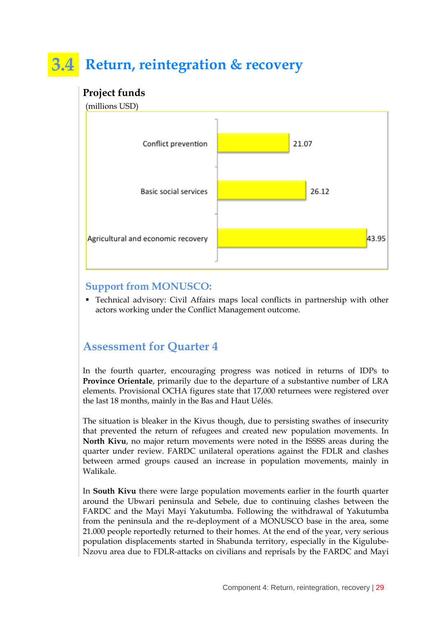# **3.4 Return, reintegration & recovery**

### **Project funds**

(millions USD)

![](_page_28_Figure_3.jpeg)

#### **Support from MONUSCO:**

 Technical advisory: Civil Affairs maps local conflicts in partnership with other actors working under the Conflict Management outcome.

## **Assessment for Quarter 4**

In the fourth quarter, encouraging progress was noticed in returns of IDPs to **Province Orientale**, primarily due to the departure of a substantive number of LRA elements. Provisional OCHA figures state that 17,000 returnees were registered over the last 18 months, mainly in the Bas and Haut Uélés.

The situation is bleaker in the Kivus though, due to persisting swathes of insecurity that prevented the return of refugees and created new population movements. In **North Kivu**, no major return movements were noted in the ISSSS areas during the quarter under review. FARDC unilateral operations against the FDLR and clashes between armed groups caused an increase in population movements, mainly in Walikale.

In **South Kivu** there were large population movements earlier in the fourth quarter around the Ubwari peninsula and Sebele, due to continuing clashes between the FARDC and the Mayi Mayi Yakutumba. Following the withdrawal of Yakutumba from the peninsula and the re-deployment of a MONUSCO base in the area, some 21.000 people reportedly returned to their homes. At the end of the year, very serious population displacements started in Shabunda territory, especially in the Kigulube-Nzovu area due to FDLR-attacks on civilians and reprisals by the FARDC and Mayi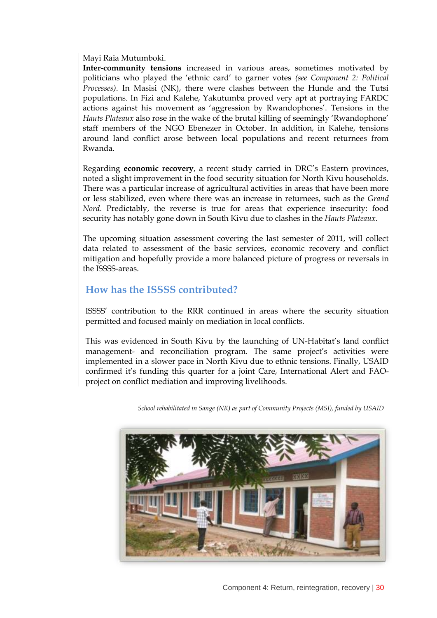Mayi Raia Mutumboki.

**Inter-community tensions** increased in various areas, sometimes motivated by politicians who played the "ethnic card" to garner votes *(see Component 2: Political Processes)*. In Masisi (NK), there were clashes between the Hunde and the Tutsi populations. In Fizi and Kalehe, Yakutumba proved very apt at portraying FARDC actions against his movement as 'aggression by Rwandophones'. Tensions in the *Hauts Plateaux* also rose in the wake of the brutal killing of seemingly "Rwandophone" staff members of the NGO Ebenezer in October. In addition, in Kalehe, tensions around land conflict arose between local populations and recent returnees from Rwanda.

Regarding **economic recovery**, a recent study carried in DRC"s Eastern provinces, noted a slight improvement in the food security situation for North Kivu households. There was a particular increase of agricultural activities in areas that have been more or less stabilized, even where there was an increase in returnees, such as the *Grand Nord*. Predictably, the reverse is true for areas that experience insecurity: food security has notably gone down in South Kivu due to clashes in the *Hauts Plateaux*.

The upcoming situation assessment covering the last semester of 2011, will collect data related to assessment of the basic services, economic recovery and conflict mitigation and hopefully provide a more balanced picture of progress or reversals in the ISSSS-areas.

#### **How has the ISSSS contributed?**

ISSSS" contribution to the RRR continued in areas where the security situation permitted and focused mainly on mediation in local conflicts.

This was evidenced in South Kivu by the launching of UN-Habitat"s land conflict management- and reconciliation program. The same project's activities were implemented in a slower pace in North Kivu due to ethnic tensions. Finally, USAID confirmed it's funding this quarter for a joint Care, International Alert and FAOproject on conflict mediation and improving livelihoods.

*School rehabilitated in Sange (NK) as part of Community Projects (MSI), funded by USAID*

![](_page_29_Picture_8.jpeg)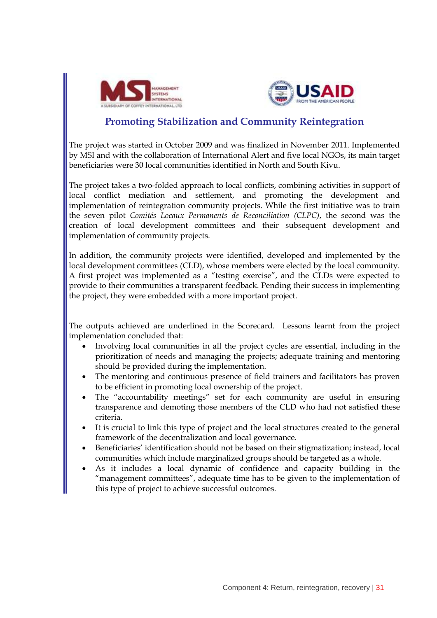![](_page_30_Picture_0.jpeg)

![](_page_30_Picture_1.jpeg)

### **Promoting Stabilization and Community Reintegration**

The project was started in October 2009 and was finalized in November 2011. Implemented by MSI and with the collaboration of International Alert and five local NGOs, its main target beneficiaries were 30 local communities identified in North and South Kivu.

The project takes a two-folded approach to local conflicts, combining activities in support of local conflict mediation and settlement, and promoting the development and implementation of reintegration community projects. While the first initiative was to train the seven pilot *Comités Locaux Permanents de Reconciliation (CLPC)*, the second was the creation of local development committees and their subsequent development and implementation of community projects.

In addition, the community projects were identified, developed and implemented by the local development committees (CLD), whose members were elected by the local community. A first project was implemented as a "testing exercise", and the CLDs were expected to provide to their communities a transparent feedback. Pending their success in implementing the project, they were embedded with a more important project.

The outputs achieved are underlined in the Scorecard. Lessons learnt from the project implementation concluded that:

- Involving local communities in all the project cycles are essential, including in the prioritization of needs and managing the projects; adequate training and mentoring should be provided during the implementation.
- The mentoring and continuous presence of field trainers and facilitators has proven to be efficient in promoting local ownership of the project.
- The "accountability meetings" set for each community are useful in ensuring transparence and demoting those members of the CLD who had not satisfied these criteria.
- It is crucial to link this type of project and the local structures created to the general framework of the decentralization and local governance.
- Beneficiaries" identification should not be based on their stigmatization; instead, local communities which include marginalized groups should be targeted as a whole.
- As it includes a local dynamic of confidence and capacity building in the "management committees", adequate time has to be given to the implementation of this type of project to achieve successful outcomes.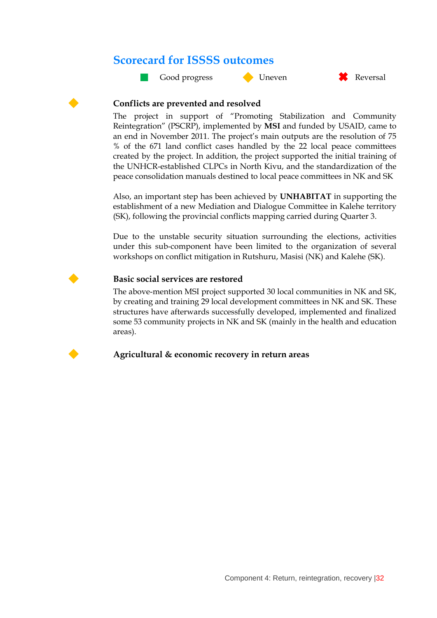## **Scorecard for ISSSS outcomes**

![](_page_31_Picture_1.jpeg)

![](_page_31_Picture_2.jpeg)

![](_page_31_Figure_3.jpeg)

#### **Conflicts are prevented and resolved**

The project in support of "Promoting Stabilization and Community Reintegration" (PSCRP), implemented by **MSI** and funded by USAID, came to an end in November 2011. The project's main outputs are the resolution of 75 % of the 671 land conflict cases handled by the 22 local peace committees created by the project. In addition, the project supported the initial training of the UNHCR-established CLPCs in North Kivu, and the standardization of the peace consolidation manuals destined to local peace committees in NK and SK

Also, an important step has been achieved by **UNHABITAT** in supporting the establishment of a new Mediation and Dialogue Committee in Kalehe territory (SK), following the provincial conflicts mapping carried during Quarter 3.

Due to the unstable security situation surrounding the elections, activities under this sub-component have been limited to the organization of several workshops on conflict mitigation in Rutshuru, Masisi (NK) and Kalehe (SK).

#### **Basic social services are restored**

The above-mention MSI project supported 30 local communities in NK and SK, by creating and training 29 local development committees in NK and SK. These structures have afterwards successfully developed, implemented and finalized some 53 community projects in NK and SK (mainly in the health and education areas).

![](_page_31_Picture_10.jpeg)

#### **Agricultural & economic recovery in return areas**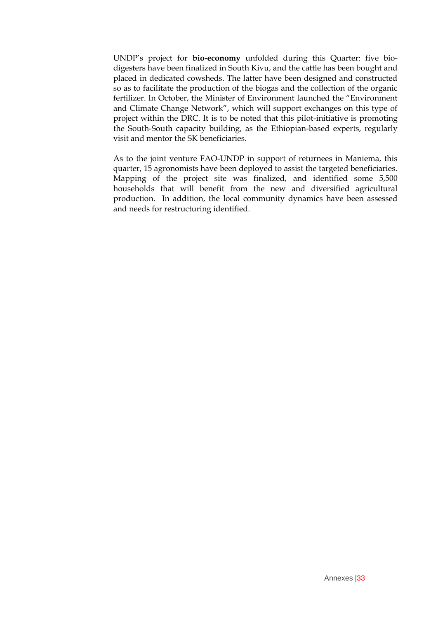UNDP"s project for **bio-economy** unfolded during this Quarter: five biodigesters have been finalized in South Kivu, and the cattle has been bought and placed in dedicated cowsheds. The latter have been designed and constructed so as to facilitate the production of the biogas and the collection of the organic fertilizer. In October, the Minister of Environment launched the "Environment and Climate Change Network", which will support exchanges on this type of project within the DRC. It is to be noted that this pilot-initiative is promoting the South-South capacity building, as the Ethiopian-based experts, regularly visit and mentor the SK beneficiaries.

As to the joint venture FAO-UNDP in support of returnees in Maniema, this quarter, 15 agronomists have been deployed to assist the targeted beneficiaries. Mapping of the project site was finalized, and identified some 5,500 households that will benefit from the new and diversified agricultural production. In addition, the local community dynamics have been assessed and needs for restructuring identified.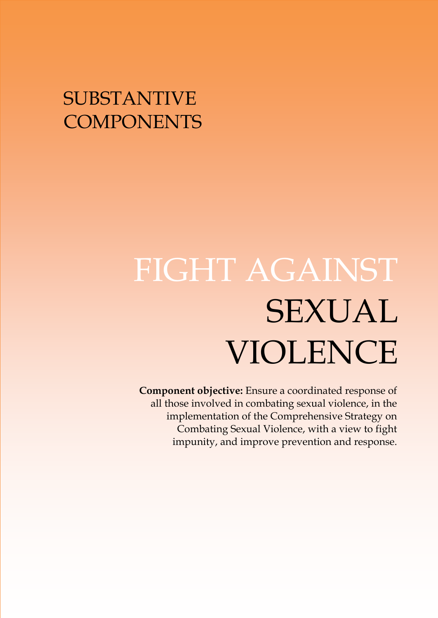# SUBSTANTIVE **COMPONENTS**

# FIGHT AGAINST SEXUAL VIOLENCE

**Component objective:** Ensure a coordinated response of all those involved in combating sexual violence, in the implementation of the Comprehensive Strategy on Combating Sexual Violence, with a view to fight impunity, and improve prevention and response.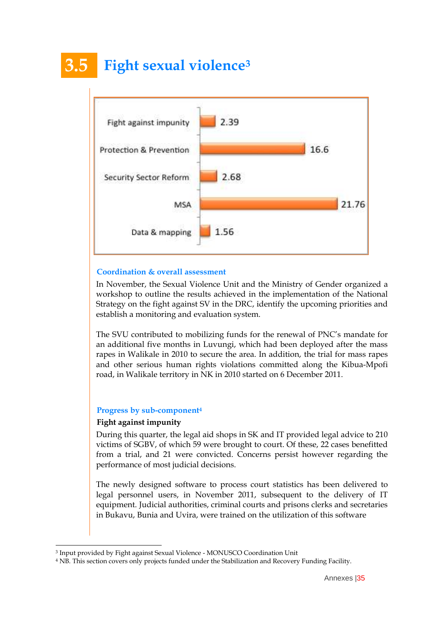# **3.5 Fight sexual violence<sup>3</sup>**

![](_page_34_Figure_1.jpeg)

#### **Coordination & overall assessment**

In November, the Sexual Violence Unit and the Ministry of Gender organized a workshop to outline the results achieved in the implementation of the National Strategy on the fight against SV in the DRC, identify the upcoming priorities and establish a monitoring and evaluation system.

The SVU contributed to mobilizing funds for the renewal of PNC"s mandate for an additional five months in Luvungi, which had been deployed after the mass rapes in Walikale in 2010 to secure the area. In addition, the trial for mass rapes and other serious human rights violations committed along the Kibua-Mpofi road, in Walikale territory in NK in 2010 started on 6 December 2011.

#### **Progress by sub-component<sup>4</sup>**

#### **Fight against impunity**

During this quarter, the legal aid shops in SK and IT provided legal advice to 210 victims of SGBV, of which 59 were brought to court. Of these, 22 cases benefitted from a trial, and 21 were convicted. Concerns persist however regarding the performance of most judicial decisions.

The newly designed software to process court statistics has been delivered to legal personnel users, in November 2011, subsequent to the delivery of IT equipment. Judicial authorities, criminal courts and prisons clerks and secretaries in Bukavu, Bunia and Uvira, were trained on the utilization of this software

<sup>3</sup> Input provided by Fight against Sexual Violence - MONUSCO Coordination Unit

<sup>4</sup> NB. This section covers only projects funded under the Stabilization and Recovery Funding Facility.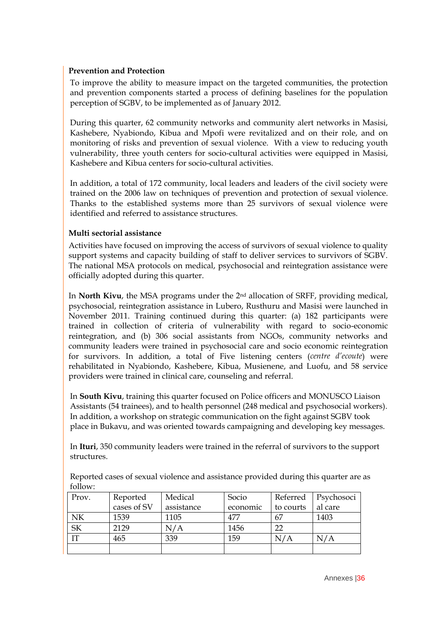#### **Prevention and Protection**

To improve the ability to measure impact on the targeted communities, the protection and prevention components started a process of defining baselines for the population perception of SGBV, to be implemented as of January 2012.

During this quarter, 62 community networks and community alert networks in Masisi, Kashebere, Nyabiondo, Kibua and Mpofi were revitalized and on their role, and on monitoring of risks and prevention of sexual violence. With a view to reducing youth vulnerability, three youth centers for socio-cultural activities were equipped in Masisi, Kashebere and Kibua centers for socio-cultural activities.

In addition, a total of 172 community, local leaders and leaders of the civil society were trained on the 2006 law on techniques of prevention and protection of sexual violence. Thanks to the established systems more than 25 survivors of sexual violence were identified and referred to assistance structures.

#### **Multi sectorial assistance**

Activities have focused on improving the access of survivors of sexual violence to quality support systems and capacity building of staff to deliver services to survivors of SGBV. The national MSA protocols on medical, psychosocial and reintegration assistance were officially adopted during this quarter.

In **North Kivu**, the MSA programs under the 2nd allocation of SRFF, providing medical, psychosocial, reintegration assistance in Lubero, Rusthuru and Masisi were launched in November 2011. Training continued during this quarter: (a) 182 participants were trained in collection of criteria of vulnerability with regard to socio-economic reintegration, and (b) 306 social assistants from NGOs, community networks and community leaders were trained in psychosocial care and socio economic reintegration for survivors. In addition, a total of Five listening centers (*centre d"ecoute*) were rehabilitated in Nyabiondo, Kashebere, Kibua, Musienene, and Luofu, and 58 service providers were trained in clinical care, counseling and referral.

In **South Kivu**, training this quarter focused on Police officers and MONUSCO Liaison Assistants (54 trainees), and to health personnel (248 medical and psychosocial workers). In addition, a workshop on strategic communication on the fight against SGBV took place in Bukavu, and was oriented towards campaigning and developing key messages.

In **Ituri**, 350 community leaders were trained in the referral of survivors to the support structures.

Reported cases of sexual violence and assistance provided during this quarter are as follow:

| Prov.     | Reported    | Medical    | Socio    | Referred  | Psychosoci |
|-----------|-------------|------------|----------|-----------|------------|
|           | cases of SV | assistance | economic | to courts | al care    |
| NK        | 1539        | 1105       | 477      | 67        | 1403       |
| <b>SK</b> | 2129        | N/A        | 1456     | 22        |            |
| TТ        | 465         | 339        | 159      | N/A       | N/A        |
|           |             |            |          |           |            |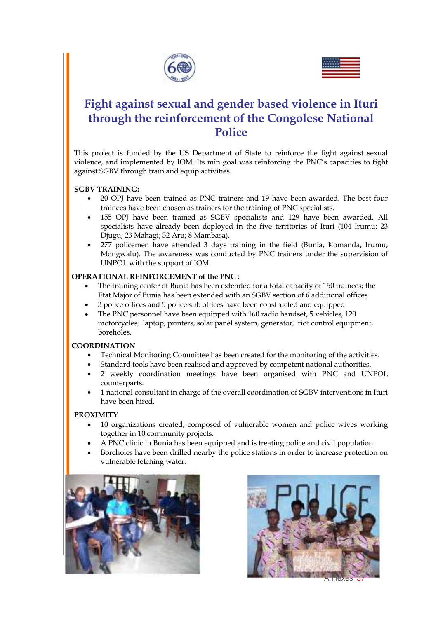![](_page_36_Picture_0.jpeg)

![](_page_36_Picture_1.jpeg)

## **Fight against sexual and gender based violence in Ituri through the reinforcement of the Congolese National Police**

This project is funded by the US Department of State to reinforce the fight against sexual violence, and implemented by IOM. Its min goal was reinforcing the PNC"s capacities to fight against SGBV through train and equip activities.

#### **SGBV TRAINING:**

- 20 OPJ have been trained as PNC trainers and 19 have been awarded. The best four trainees have been chosen as trainers for the training of PNC specialists.
- 155 OPJ have been trained as SGBV specialists and 129 have been awarded. All specialists have already been deployed in the five territories of Ituri (104 Irumu; 23 Djugu; 23 Mahagi; 32 Aru; 8 Mambasa).
- 277 policemen have attended 3 days training in the field (Bunia, Komanda, Irumu, Mongwalu). The awareness was conducted by PNC trainers under the supervision of UNPOL with the support of IOM.

#### **OPERATIONAL REINFORCEMENT of the PNC :**

- The training center of Bunia has been extended for a total capacity of 150 trainees; the Etat Major of Bunia has been extended with an SGBV section of 6 additional offices
- 3 police offices and 5 police sub offices have been constructed and equipped.
- The PNC personnel have been equipped with 160 radio handset, 5 vehicles, 120 motorcycles, laptop, printers, solar panel system, generator, riot control equipment, boreholes.

#### **COORDINATION**

- Technical Monitoring Committee has been created for the monitoring of the activities.
- Standard tools have been realised and approved by competent national authorities.
- 2 weekly coordination meetings have been organised with PNC and UNPOL counterparts.
- 1 national consultant in charge of the overall coordination of SGBV interventions in Ituri have been hired.

#### **PROXIMITY**

- 10 organizations created, composed of vulnerable women and police wives working together in 10 community projects.
- A PNC clinic in Bunia has been equipped and is treating police and civil population.
- Boreholes have been drilled nearby the police stations in order to increase protection on vulnerable fetching water.

![](_page_36_Picture_21.jpeg)

![](_page_36_Picture_22.jpeg)

Annexes jor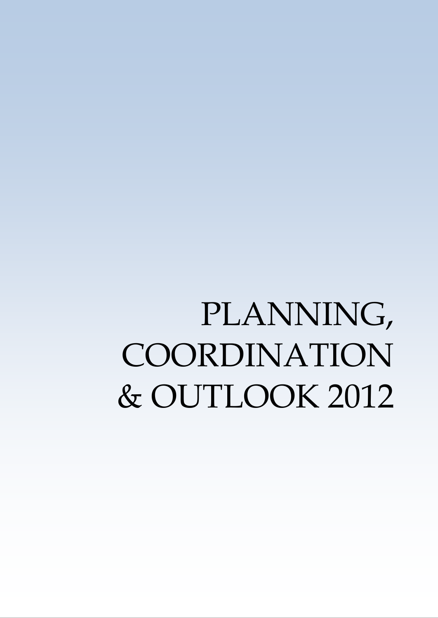# PLANNING, COORDINATION & OUTLOOK 2012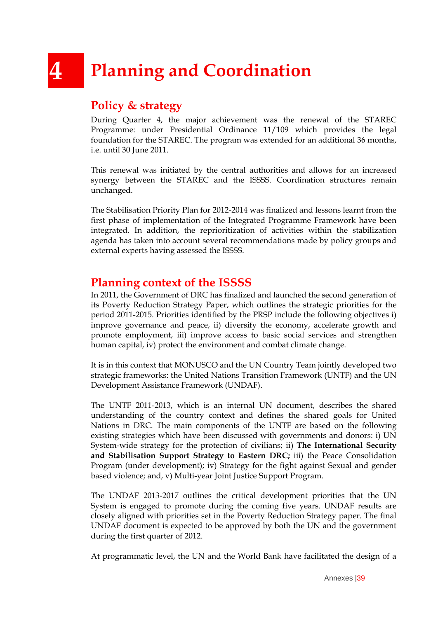# **4 Planning and Coordination**

## **Policy & strategy**

During Quarter 4, the major achievement was the renewal of the STAREC Programme: under Presidential Ordinance 11/109 which provides the legal foundation for the STAREC. The program was extended for an additional 36 months, i.e. until 30 June 2011.

This renewal was initiated by the central authorities and allows for an increased synergy between the STAREC and the ISSSS. Coordination structures remain unchanged.

The Stabilisation Priority Plan for 2012-2014 was finalized and lessons learnt from the first phase of implementation of the Integrated Programme Framework have been integrated. In addition, the reprioritization of activities within the stabilization agenda has taken into account several recommendations made by policy groups and external experts having assessed the ISSSS.

## **Planning context of the ISSSS**

In 2011, the Government of DRC has finalized and launched the second generation of its Poverty Reduction Strategy Paper, which outlines the strategic priorities for the period 2011-2015. Priorities identified by the PRSP include the following objectives i) improve governance and peace, ii) diversify the economy, accelerate growth and promote employment, iii) improve access to basic social services and strengthen human capital, iv) protect the environment and combat climate change.

It is in this context that MONUSCO and the UN Country Team jointly developed two strategic frameworks: the United Nations Transition Framework (UNTF) and the UN Development Assistance Framework (UNDAF).

The UNTF 2011-2013, which is an internal UN document, describes the shared understanding of the country context and defines the shared goals for United Nations in DRC. The main components of the UNTF are based on the following existing strategies which have been discussed with governments and donors: i) UN System-wide strategy for the protection of civilians; ii) **The International Security and Stabilisation Support Strategy to Eastern DRC;** iii) the Peace Consolidation Program (under development); iv) Strategy for the fight against Sexual and gender based violence; and, v) Multi-year Joint Justice Support Program.

The UNDAF 2013-2017 outlines the critical development priorities that the UN System is engaged to promote during the coming five years. UNDAF results are closely aligned with priorities set in the Poverty Reduction Strategy paper. The final UNDAF document is expected to be approved by both the UN and the government during the first quarter of 2012.

At programmatic level, the UN and the World Bank have facilitated the design of a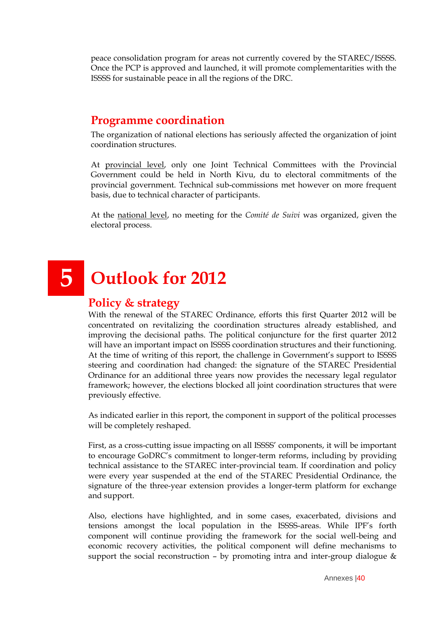peace consolidation program for areas not currently covered by the STAREC/ISSSS. Once the PCP is approved and launched, it will promote complementarities with the ISSSS for sustainable peace in all the regions of the DRC.

## **Programme coordination**

The organization of national elections has seriously affected the organization of joint coordination structures.

At provincial level, only one Joint Technical Committees with the Provincial Government could be held in North Kivu, du to electoral commitments of the provincial government. Technical sub-commissions met however on more frequent basis, due to technical character of participants.

At the national level, no meeting for the *Comité de Suivi* was organized, given the electoral process.

# **5 Outlook for 2012**

### **Policy & strategy**

With the renewal of the STAREC Ordinance, efforts this first Quarter 2012 will be concentrated on revitalizing the coordination structures already established, and improving the decisional paths. The political conjuncture for the first quarter 2012 will have an important impact on ISSSS coordination structures and their functioning. At the time of writing of this report, the challenge in Government's support to ISSSS steering and coordination had changed: the signature of the STAREC Presidential Ordinance for an additional three years now provides the necessary legal regulator framework; however, the elections blocked all joint coordination structures that were previously effective.

As indicated earlier in this report, the component in support of the political processes will be completely reshaped.

First, as a cross-cutting issue impacting on all ISSSS' components, it will be important to encourage GoDRC"s commitment to longer-term reforms, including by providing technical assistance to the STAREC inter-provincial team. If coordination and policy were every year suspended at the end of the STAREC Presidential Ordinance, the signature of the three-year extension provides a longer-term platform for exchange and support.

Also, elections have highlighted, and in some cases, exacerbated, divisions and tensions amongst the local population in the ISSSS-areas. While IPF"s forth component will continue providing the framework for the social well-being and economic recovery activities, the political component will define mechanisms to support the social reconstruction – by promoting intra and inter-group dialogue &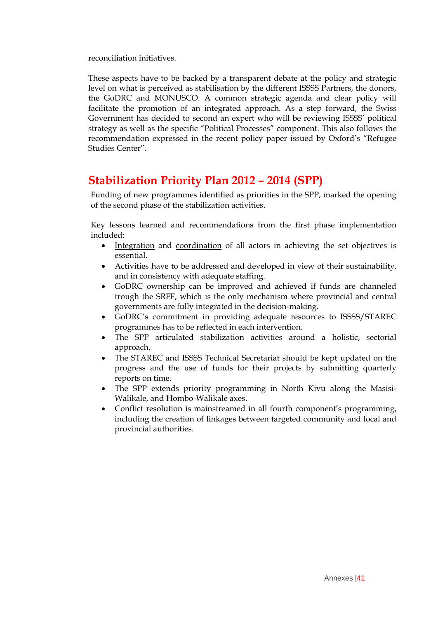reconciliation initiatives.

These aspects have to be backed by a transparent debate at the policy and strategic level on what is perceived as stabilisation by the different ISSSS Partners, the donors, the GoDRC and MONUSCO. A common strategic agenda and clear policy will facilitate the promotion of an integrated approach. As a step forward, the Swiss Government has decided to second an expert who will be reviewing ISSSS" political strategy as well as the specific "Political Processes" component. This also follows the recommendation expressed in the recent policy paper issued by Oxford's "Refugee Studies Center".

## **Stabilization Priority Plan 2012 – 2014 (SPP)**

Funding of new programmes identified as priorities in the SPP, marked the opening of the second phase of the stabilization activities.

Key lessons learned and recommendations from the first phase implementation included:

- Integration and coordination of all actors in achieving the set objectives is essential.
- Activities have to be addressed and developed in view of their sustainability, and in consistency with adequate staffing.
- GoDRC ownership can be improved and achieved if funds are channeled trough the SRFF, which is the only mechanism where provincial and central governments are fully integrated in the decision-making.
- GoDRC"s commitment in providing adequate resources to ISSSS/STAREC programmes has to be reflected in each intervention.
- The SPP articulated stabilization activities around a holistic, sectorial approach.
- The STAREC and ISSSS Technical Secretariat should be kept updated on the progress and the use of funds for their projects by submitting quarterly reports on time.
- The SPP extends priority programming in North Kivu along the Masisi-Walikale, and Hombo-Walikale axes.
- Conflict resolution is mainstreamed in all fourth component's programming, including the creation of linkages between targeted community and local and provincial authorities.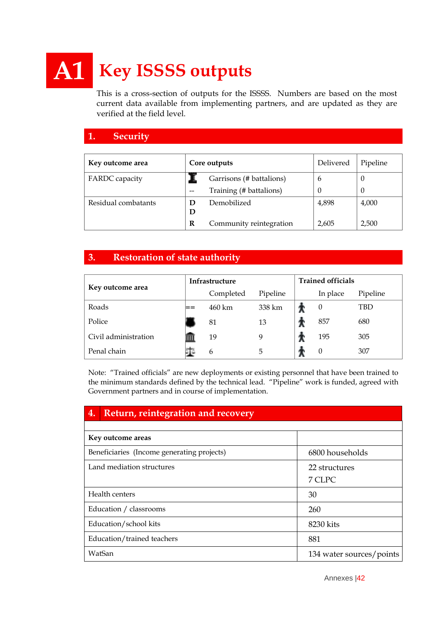# **A1 Key ISSSS outputs**

This is a cross-section of outputs for the ISSSS. Numbers are based on the most current data available from implementing partners, and are updated as they are verified at the field level.

#### **1. Security**

| Key outcome area      | Core outputs |                          | Delivered | Pipeline |
|-----------------------|--------------|--------------------------|-----------|----------|
| <b>FARDC</b> capacity |              | Garrisons (# battalions) | b         | U        |
|                       | --           | Training (# battalions)  | $\theta$  | $\theta$ |
| Residual combatants   | Ð<br>D       | Demobilized              | 4,898     | 4,000    |
|                       | R            | Community reintegration  | 2,605     | 2,500    |

#### **3. Restoration of state authority**

|                      | <b>Infrastructure</b> |           |          | <b>Trained officials</b> |                  |          |
|----------------------|-----------------------|-----------|----------|--------------------------|------------------|----------|
| Key outcome area     |                       | Completed | Pipeline |                          | In place         | Pipeline |
| Roads                |                       | 460 km    | 338 km   |                          | $\theta$         | TBD      |
| Police               |                       | 81        | 13       |                          | 857              | 680      |
| Civil administration |                       | 19        |          |                          | 195              | 305      |
| Penal chain          |                       | 6         | 5        |                          | $\boldsymbol{0}$ | 307      |

Note: "Trained officials" are new deployments or existing personnel that have been trained to the minimum standards defined by the technical lead. "Pipeline" work is funded, agreed with Government partners and in course of implementation.

| 4. | Return, reintegration and recovery         |                          |  |  |  |  |
|----|--------------------------------------------|--------------------------|--|--|--|--|
|    |                                            |                          |  |  |  |  |
|    | Key outcome areas                          |                          |  |  |  |  |
|    | Beneficiaries (Income generating projects) | 6800 households          |  |  |  |  |
|    | Land mediation structures                  | 22 structures            |  |  |  |  |
|    |                                            | 7 CLPC                   |  |  |  |  |
|    | Health centers                             | 30                       |  |  |  |  |
|    | Education / classrooms                     | 260                      |  |  |  |  |
|    | Education/school kits                      | 8230 kits                |  |  |  |  |
|    | Education/trained teachers                 | 881                      |  |  |  |  |
|    | WatSan                                     | 134 water sources/points |  |  |  |  |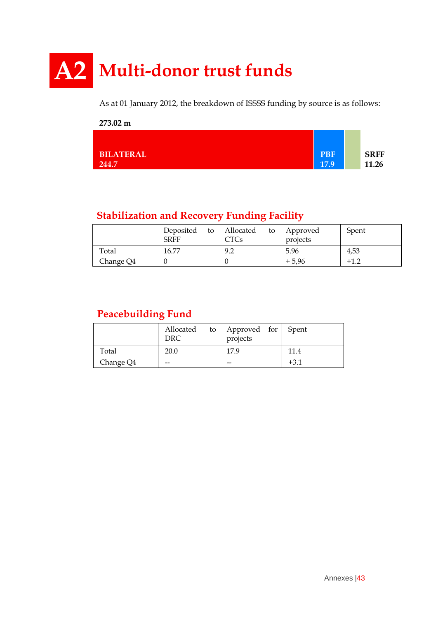# **A2 Multi-donor trust funds**

As at 01 January 2012, the breakdown of ISSSS funding by source is as follows:

#### **273.02 m BILATERAL 244.7 PBF 17.9 SRFF 11.26**

## **Stabilization and Recovery Funding Facility**

|           | Deposited<br>to<br><b>SRFF</b> | Allocated<br>to<br>CTCs | Approved<br>projects | Spent  |
|-----------|--------------------------------|-------------------------|----------------------|--------|
| Total     | 16.77                          | 9.2                     | 5.96                 | 4,53   |
| Change Q4 |                                |                         | $+5,96$              | $+1.2$ |

## **Peacebuilding Fund**

|           | Allocated<br>to 1<br>DRC | Approved for Spent<br>projects |      |
|-----------|--------------------------|--------------------------------|------|
| Total     | 20.0                     | 17.9                           | 11.4 |
| Change Q4 | --                       | --                             | +3.1 |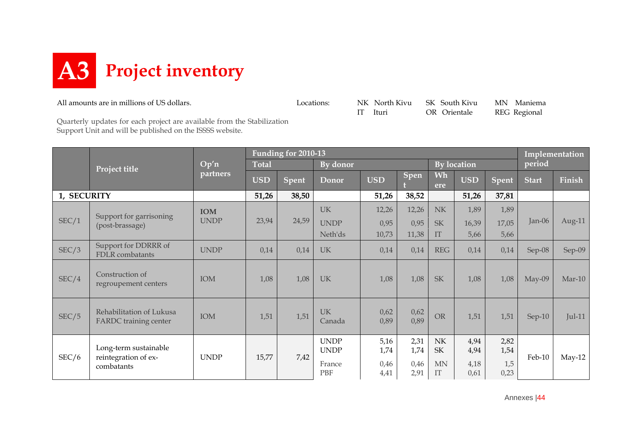![](_page_43_Picture_0.jpeg)

All amounts are in millions of US dollars.<br>
Locations: NK North Kivu SK South Kivu MN Maniema<br>
IT Ituri OR Orientale REG Regional

IT Ituri OR Orientale REG Regional

Quarterly updates for each project are available from the Stabilization Support Unit and will be published on the ISSSS website.

|             |                                                          |             | <b>Funding for 2010-13</b> |              |                            |              |              |                                              |              |              |              | Implementation |  |
|-------------|----------------------------------------------------------|-------------|----------------------------|--------------|----------------------------|--------------|--------------|----------------------------------------------|--------------|--------------|--------------|----------------|--|
|             | Project title                                            | Op'n        | <b>Total</b>               |              | By donor                   |              |              |                                              | By location  |              | period       |                |  |
|             |                                                          | partners    | <b>USD</b>                 | <b>Spent</b> | Donor                      | <b>USD</b>   | Spen         | Wh<br>ere                                    | <b>USD</b>   | <b>Spent</b> | <b>Start</b> | Finish         |  |
| 1, SECURITY |                                                          |             | 51,26                      | 38,50        |                            | 51,26        | 38,52        |                                              | 51,26        | 37,81        |              |                |  |
|             | Support for garrisoning                                  | <b>IOM</b>  |                            |              | <b>UK</b>                  | 12,26        | 12,26        | N <sub>K</sub>                               | 1,89         | 1,89         |              |                |  |
| SEC/1       | (post-brassage)                                          | <b>UNDP</b> | 23,94                      | 24,59        | <b>UNDP</b>                | 0,95         | 0,95         | <b>SK</b>                                    | 16,39        | 17,05        | Jan-06       | Aug-11         |  |
|             |                                                          |             |                            |              | Neth'ds                    | 10,73        | 11,38        | IT                                           | 5,66         | 5,66         |              |                |  |
| SEC/3       | Support for DDRRR of<br>FDLR combatants                  | <b>UNDP</b> | 0,14                       | 0,14         | <b>UK</b>                  | 0,14         | 0,14         | <b>REG</b>                                   | 0,14         | 0,14         | Sep-08       | Sep-09         |  |
| SEC/4       | Construction of<br>regroupement centers                  | <b>IOM</b>  | 1,08                       | 1,08         | <b>UK</b>                  | 1,08         | 1,08         | <b>SK</b>                                    | 1,08         | 1,08         | $May-09$     | $Mar-10$       |  |
| SEC/5       | Rehabilitation of Lukusa<br><b>FARDC</b> training center | IOM         | 1,51                       | 1,51         | <b>UK</b><br>Canada        | 0,62<br>0,89 | 0,62<br>0,89 | <b>OR</b>                                    | 1,51         | 1,51         | $Sep-10$     | $Jul-11$       |  |
|             | Long-term sustainable                                    |             |                            |              | <b>UNDP</b><br><b>UNDP</b> | 5,16<br>1,74 | 2,31<br>1,74 | $\ensuremath{\text{NK}}\xspace$<br><b>SK</b> | 4,94<br>4,94 | 2,82<br>1,54 |              |                |  |
| SEC/6       | reintegration of ex-<br>combatants                       | <b>UNDP</b> | 15,77                      | 7,42         | France<br><b>PBF</b>       | 0,46<br>4,41 | 0,46<br>2,91 | $\mbox{MN}$<br>IT                            | 4,18<br>0,61 | 1,5<br>0,23  | Feb-10       | $May-12$       |  |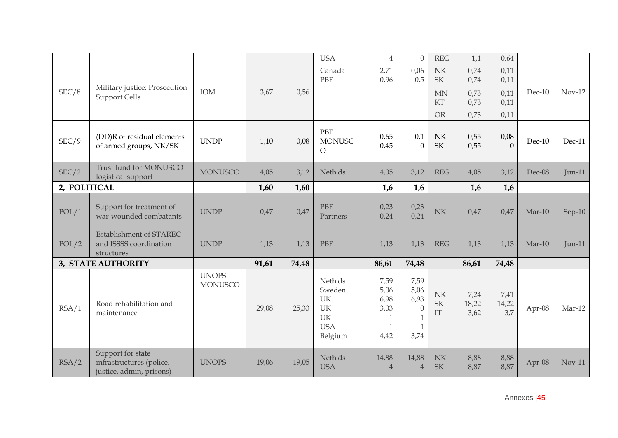|              |                                                                           |                                |       |       | <b>USA</b>                                                          | $\overline{4}$                                 | $\theta$                                                      | <b>REG</b>                                          | 1,1                   | 0,64                 |          |          |
|--------------|---------------------------------------------------------------------------|--------------------------------|-------|-------|---------------------------------------------------------------------|------------------------------------------------|---------------------------------------------------------------|-----------------------------------------------------|-----------------------|----------------------|----------|----------|
|              | Military justice: Prosecution                                             |                                |       |       | Canada<br>PBF                                                       | 2,71<br>0,96                                   | 0,06<br>0,5                                                   | $\ensuremath{\text{NK}}\xspace$<br><b>SK</b>        | 0,74<br>0,74          | 0,11<br>0,11         |          |          |
| SEC/8        | <b>Support Cells</b>                                                      | IOM                            | 3,67  | 0,56  |                                                                     |                                                |                                                               | <b>MN</b><br>KT                                     | 0,73<br>0,73          | 0,11<br>0,11         | $Dec-10$ | $Nov-12$ |
|              |                                                                           |                                |       |       |                                                                     |                                                |                                                               | <b>OR</b>                                           | 0,73                  | 0,11                 |          |          |
| SEC/9        | (DD)R of residual elements<br>of armed groups, NK/SK                      | <b>UNDP</b>                    | 1,10  | 0,08  | PBF<br><b>MONUSC</b><br>$\circ$                                     | 0,65<br>0,45                                   | 0,1<br>$\mathbf{0}$                                           | N <sub>K</sub><br>$\ensuremath{\mathsf{SK}}\xspace$ | 0,55<br>0,55          | 0,08<br>$\Omega$     | $Dec-10$ | $Dec-11$ |
| SEC/2        | Trust fund for MONUSCO<br>logistical support                              | <b>MONUSCO</b>                 | 4,05  | 3,12  | Neth'ds                                                             | 4,05                                           | 3,12                                                          | <b>REG</b>                                          | 4,05                  | 3,12                 | Dec-08   | $Jun-11$ |
| 2, POLITICAL |                                                                           |                                | 1,60  | 1,60  |                                                                     | 1,6                                            | 1,6                                                           |                                                     | 1,6                   | 1,6                  |          |          |
| POL/1        | Support for treatment of<br>war-wounded combatants                        | <b>UNDP</b>                    | 0,47  | 0,47  | <b>PBF</b><br>Partners                                              | 0,23<br>0,24                                   | 0,23<br>0,24                                                  | NK                                                  | 0,47                  | 0,47                 | $Mar-10$ | Sep-10   |
| POL/2        | Establishment of STAREC<br>and ISSSS coordination<br>structures           | <b>UNDP</b>                    | 1,13  | 1,13  | PBF                                                                 | 1,13                                           | 1,13                                                          | <b>REG</b>                                          | 1,13                  | 1,13                 | $Mar-10$ | $Jun-11$ |
|              | 3, STATE AUTHORITY                                                        |                                | 91,61 | 74,48 |                                                                     | 86,61                                          | 74,48                                                         |                                                     | 86,61                 | 74,48                |          |          |
| RSA/1        | Road rehabilitation and<br>maintenance                                    | <b>UNOPS</b><br><b>MONUSCO</b> | 29,08 | 25,33 | Neth'ds<br>Sweden<br>UK<br>UK<br><b>UK</b><br><b>USA</b><br>Belgium | 7,59<br>5,06<br>6,98<br>3,03<br>1<br>1<br>4,42 | 7,59<br>5,06<br>6,93<br>$\theta$<br>$\mathbf{1}$<br>1<br>3,74 | NK<br>SK<br>$\mathop{\text{IT}}$                    | 7,24<br>18,22<br>3,62 | 7,41<br>14,22<br>3,7 | Apr-08   | Mar-12   |
| RSA/2        | Support for state<br>infrastructures (police,<br>justice, admin, prisons) | <b>UNOPS</b>                   | 19,06 | 19,05 | Neth'ds<br><b>USA</b>                                               | 14,88<br>$\overline{4}$                        | 14,88<br>$\overline{4}$                                       | NK<br><b>SK</b>                                     | 8,88<br>8,87          | 8,88<br>8,87         | Apr-08   | $Nov-11$ |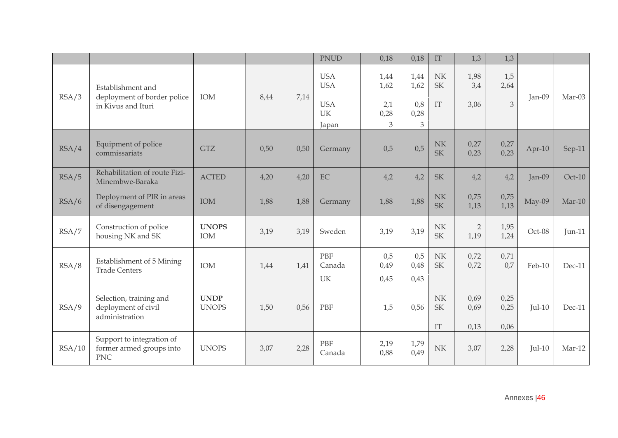|        |                                                                        |                             |      |      | <b>PNUD</b>                                                  | 0,18                             | 0,18                             | $\mathop{\text{IT}}$                                                 | 1,3                    | 1,3                  |          |          |
|--------|------------------------------------------------------------------------|-----------------------------|------|------|--------------------------------------------------------------|----------------------------------|----------------------------------|----------------------------------------------------------------------|------------------------|----------------------|----------|----------|
| RSA/3  | Establishment and<br>deployment of border police<br>in Kivus and Ituri | IOM                         | 8,44 | 7,14 | <b>USA</b><br><b>USA</b><br><b>USA</b><br><b>UK</b><br>Japan | 1,44<br>1,62<br>2,1<br>0,28<br>3 | 1,44<br>1,62<br>0,8<br>0,28<br>3 | $\ensuremath{\text{NK}}\xspace$<br><b>SK</b><br>$\mathop{\text{IT}}$ | 1,98<br>3,4<br>3,06    | 1,5<br>2,64<br>3     | Jan-09   | Mar-03   |
| RSA/4  | Equipment of police<br>commissariats                                   | <b>GTZ</b>                  | 0,50 | 0,50 | Germany                                                      | 0,5                              | 0,5                              | NK<br><b>SK</b>                                                      | 0,27<br>0,23           | 0,27<br>0,23         | Apr-10   | Sep-11   |
| RSA/5  | Rehabilitation of route Fizi-<br>Minembwe-Baraka                       | <b>ACTED</b>                | 4,20 | 4,20 | EC                                                           | 4,2                              | 4,2                              | <b>SK</b>                                                            | 4,2                    | 4,2                  | $Jan-09$ | $Oct-10$ |
| RSA/6  | Deployment of PIR in areas<br>of disengagement                         | IOM                         | 1,88 | 1,88 | Germany                                                      | 1,88                             | 1,88                             | N <sub>K</sub><br><b>SK</b>                                          | 0,75<br>1,13           | 0,75<br>1,13         | May-09   | $Mar-10$ |
| RSA/7  | Construction of police<br>housing NK and SK                            | <b>UNOPS</b><br>IOM         | 3,19 | 3,19 | Sweden                                                       | 3,19                             | 3,19                             | $\ensuremath{\text{NK}}\xspace$<br>SK                                | $\overline{2}$<br>1,19 | 1,95<br>1,24         | Oct-08   | $Jun-11$ |
| RSA/8  | Establishment of 5 Mining<br><b>Trade Centers</b>                      | IOM                         | 1,44 | 1,41 | <b>PBF</b><br>Canada<br>UK                                   | 0,5<br>0,49<br>0,45              | 0,5<br>0,48<br>0,43              | $\ensuremath{\text{NK}}\xspace$<br><b>SK</b>                         | 0,72<br>0,72           | 0,71<br>0,7          | Feb-10   | Dec-11   |
| RSA/9  | Selection, training and<br>deployment of civil<br>administration       | <b>UNDP</b><br><b>UNOPS</b> | 1,50 | 0,56 | PBF                                                          | 1,5                              | 0,56                             | NK<br><b>SK</b><br>$\mathop{\mathrm{IT}}$                            | 0,69<br>0,69<br>0,13   | 0,25<br>0,25<br>0,06 | $Jul-10$ | $Dec-11$ |
| RSA/10 | Support to integration of<br>former armed groups into<br><b>PNC</b>    | <b>UNOPS</b>                | 3,07 | 2,28 | PBF<br>Canada                                                | 2,19<br>0,88                     | 1,79<br>0,49                     | NK                                                                   | 3,07                   | 2,28                 | $Iul-10$ | Mar-12   |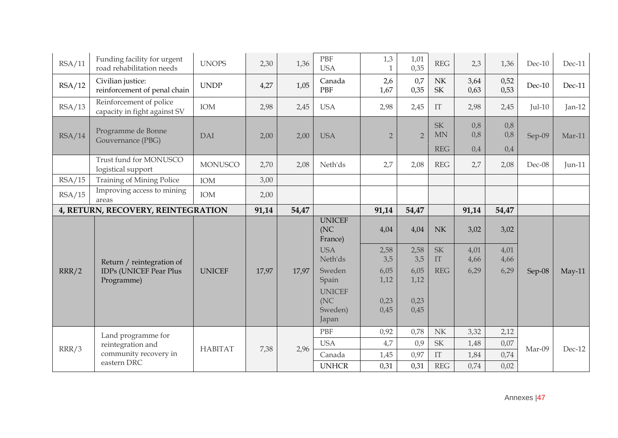| RSA/11 | Funding facility for urgent<br>road rehabilitation needs                 | <b>UNOPS</b>   | 2,30  | 1,36  | PBF<br><b>USA</b>                         | 1,3<br>1       | 1,01<br>0,35   | <b>REG</b>                            | 2,3               | 1,36              | $Dec-10$ | $Dec-11$ |
|--------|--------------------------------------------------------------------------|----------------|-------|-------|-------------------------------------------|----------------|----------------|---------------------------------------|-------------------|-------------------|----------|----------|
| RSA/12 | Civilian justice:<br>reinforcement of penal chain                        | <b>UNDP</b>    | 4,27  | 1,05  | Canada<br>PBF                             | 2,6<br>1,67    | 0,7<br>0,35    | $\ensuremath{\text{NK}}\xspace$<br>SK | 3,64<br>0,63      | 0,52<br>0,53      | Dec-10   | Dec-11   |
| RSA/13 | Reinforcement of police<br>capacity in fight against SV                  | IOM            | 2,98  | 2,45  | <b>USA</b>                                | 2,98           | 2,45           | $\mathop{\text{IT}}$                  | 2,98              | 2,45              | $Jul-10$ | $Jan-12$ |
| RSA/14 | Programme de Bonne<br>Gouvernance (PBG)                                  | <b>DAI</b>     | 2,00  | 2,00  | <b>USA</b>                                | $\overline{2}$ | $\overline{2}$ | <b>SK</b><br><b>MN</b><br><b>REG</b>  | 0,8<br>0,8<br>0,4 | 0,8<br>0,8<br>0,4 | Sep-09   | $Mar-11$ |
|        | Trust fund for MONUSCO<br>logistical support                             | <b>MONUSCO</b> | 2,70  | 2,08  | Neth'ds                                   | 2,7            | 2,08           | <b>REG</b>                            | 2,7               | 2,08              | $Dec-08$ | $Jun-11$ |
| RSA/15 | Training of Mining Police                                                | IOM            | 3,00  |       |                                           |                |                |                                       |                   |                   |          |          |
| RSA/15 | Improving access to mining<br>areas                                      | IOM            | 2,00  |       |                                           |                |                |                                       |                   |                   |          |          |
|        | 4, RETURN, RECOVERY, REINTEGRATION                                       |                | 91,14 | 54,47 |                                           | 91,14          | 54,47          |                                       | 91,14             | 54,47             |          |          |
|        |                                                                          |                |       |       |                                           |                |                |                                       |                   |                   |          |          |
|        |                                                                          |                |       |       | <b>UNICEF</b><br>(NC)<br>France)          | 4,04           | 4,04           | N <sub>K</sub>                        | 3,02              | 3,02              |          |          |
|        |                                                                          |                |       |       | <b>USA</b><br>Neth'ds                     | 2,58<br>3,5    | 2,58<br>3,5    | <b>SK</b><br>IT                       | 4,01<br>4,66      | 4,01<br>4,66      |          |          |
| RRR/2  | Return / reintegration of<br><b>IDPs (UNICEF Pear Plus</b><br>Programme) | <b>UNICEF</b>  | 17,97 | 17,97 | Sweden<br>Spain                           | 6,05<br>1,12   | 6,05<br>1,12   | <b>REG</b>                            | 6,29              | 6,29              | Sep-08   | $May-11$ |
|        |                                                                          |                |       |       | <b>UNICEF</b><br>(NC)<br>Sweden)<br>Japan | 0,23<br>0,45   | 0,23<br>0,45   |                                       |                   |                   |          |          |
|        |                                                                          |                |       |       | <b>PBF</b>                                | 0,92           | 0,78           | N <sub>K</sub>                        | 3,32              | 2,12              |          |          |
|        | Land programme for<br>reintegration and                                  |                |       |       | <b>USA</b>                                | 4,7            | 0,9            | $\ensuremath{\mathsf{SK}}\xspace$     | 1,48              | 0,07              |          |          |
| RRR/3  | community recovery in<br>eastern DRC                                     | <b>HABITAT</b> | 7,38  | 2,96  | Canada                                    | 1,45           | 0,97           | $\rm{IT}$                             | 1,84              | 0,74              | Mar-09   | Dec-12   |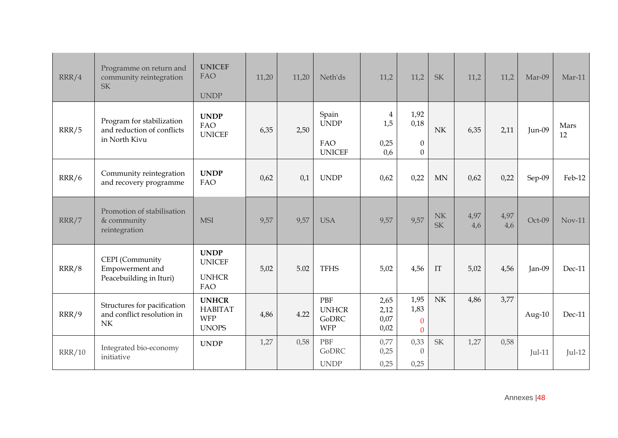| RRR/4         | Programme on return and<br>community reintegration<br><b>SK</b>             | <b>UNICEF</b><br><b>FAO</b><br><b>UNDP</b>                   | 11,20 | 11,20 | Neth'ds                                           | 11,2                                          | 11,2                                         | <b>SK</b>                       | 11,2        | 11,2        | Mar-09    | $Mar-11$   |
|---------------|-----------------------------------------------------------------------------|--------------------------------------------------------------|-------|-------|---------------------------------------------------|-----------------------------------------------|----------------------------------------------|---------------------------------|-------------|-------------|-----------|------------|
| RRR/5         | Program for stabilization<br>and reduction of conflicts<br>in North Kivu    | <b>UNDP</b><br>FAO<br><b>UNICEF</b>                          | 6,35  | 2,50  | Spain<br><b>UNDP</b><br>FAO<br><b>UNICEF</b>      | $\overline{\mathbf{4}}$<br>1,5<br>0,25<br>0,6 | 1,92<br>0,18<br>$\boldsymbol{0}$<br>$\Omega$ | N <sub>K</sub>                  | 6,35        | 2,11        | Jun-09    | Mars<br>12 |
| RRR/6         | Community reintegration<br>and recovery programme                           | <b>UNDP</b><br>FAO                                           | 0,62  | 0,1   | <b>UNDP</b>                                       | 0,62                                          | 0,22                                         | <b>MN</b>                       | 0,62        | 0,22        | Sep-09    | Feb-12     |
| RRR/7         | Promotion of stabilisation<br>& community<br>reintegration                  | <b>MSI</b>                                                   | 9,57  | 9,57  | <b>USA</b>                                        | 9,57                                          | 9,57                                         | NK<br><b>SK</b>                 | 4,97<br>4,6 | 4,97<br>4,6 | Oct-09    | $Nov-11$   |
| RRR/8         | CEPI (Community<br>Empowerment and<br>Peacebuilding in Ituri)               | <b>UNDP</b><br><b>UNICEF</b><br><b>UNHCR</b><br>FAO          | 5,02  | 5.02  | <b>TFHS</b>                                       | 5,02                                          | 4,56                                         | IT                              | 5,02        | 4,56        | Jan-09    | Dec-11     |
| RRR/9         | Structures for pacification<br>and conflict resolution in<br>N <sub>K</sub> | <b>UNHCR</b><br><b>HABITAT</b><br><b>WFP</b><br><b>UNOPS</b> | 4,86  | 4.22  | PBF<br><b>UNHCR</b><br><b>GoDRC</b><br><b>WFP</b> | 2,65<br>2,12<br>0,07<br>0,02                  | 1,95<br>1,83<br>$\mathbf{0}$<br>$\Omega$     | $\ensuremath{\text{NK}}\xspace$ | 4,86        | 3,77        | Aug- $10$ | Dec-11     |
| <b>RRR/10</b> | Integrated bio-economy<br>initiative                                        | <b>UNDP</b>                                                  | 1,27  | 0,58  | PBF<br><b>GoDRC</b><br><b>UNDP</b>                | 0,77<br>0,25<br>0,25                          | 0,33<br>$\theta$<br>0,25                     | SK                              | 1,27        | 0,58        | $Jul-11$  | $Jul-12$   |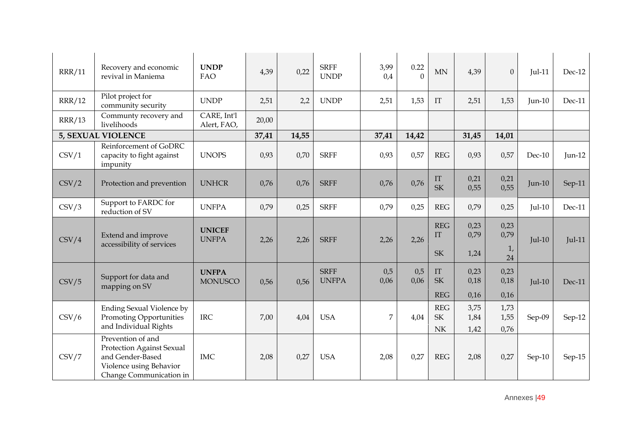| <b>RRR/11</b> | Recovery and economic<br>revival in Maniema                                                                              | <b>UNDP</b><br><b>FAO</b>      | 4,39  | 0,22  | <b>SRFF</b><br><b>UNDP</b>  | 3,99<br>0,4    | 0.22<br>$\theta$ | <b>MN</b>                           | 4,39                 | $\overline{0}$       | $Jul-11$ | $Dec-12$ |
|---------------|--------------------------------------------------------------------------------------------------------------------------|--------------------------------|-------|-------|-----------------------------|----------------|------------------|-------------------------------------|----------------------|----------------------|----------|----------|
| <b>RRR/12</b> | Pilot project for<br>community security                                                                                  | <b>UNDP</b>                    | 2,51  | 2,2   | <b>UNDP</b>                 | 2,51           | 1,53             | $\mathop{\mathrm{IT}}$              | 2,51                 | 1,53                 | $Jun-10$ | Dec-11   |
| <b>RRR/13</b> | Communty recovery and<br>livelihoods                                                                                     | CARE, Int'l<br>Alert, FAO,     | 20,00 |       |                             |                |                  |                                     |                      |                      |          |          |
|               | 5, SEXUAL VIOLENCE                                                                                                       |                                | 37,41 | 14,55 |                             | 37,41          | 14,42            |                                     | 31,45                | 14,01                |          |          |
| CSV/1         | Reinforcement of GoDRC<br>capacity to fight against<br>impunity                                                          | <b>UNOPS</b>                   | 0,93  | 0,70  | <b>SRFF</b>                 | 0,93           | 0,57             | <b>REG</b>                          | 0,93                 | 0,57                 | $Dec-10$ | $Jun-12$ |
| CSV/2         | Protection and prevention                                                                                                | <b>UNHCR</b>                   | 0,76  | 0,76  | <b>SRFF</b>                 | 0,76           | 0,76             | IT<br><b>SK</b>                     | 0,21<br>0,55         | 0,21<br>0,55         | $Jun-10$ | $Sep-11$ |
| CSV/3         | Support to FARDC for<br>reduction of SV                                                                                  | <b>UNFPA</b>                   | 0,79  | 0,25  | <b>SRFF</b>                 | 0,79           | 0,25             | <b>REG</b>                          | 0,79                 | 0,25                 | $Jul-10$ | $Dec-11$ |
| CSV/4         | Extend and improve<br>accessibility of services                                                                          | <b>UNICEF</b><br><b>UNFPA</b>  | 2,26  | 2,26  | <b>SRFF</b>                 | 2,26           | 2,26             | <b>REG</b><br>IT                    | 0,23<br>0,79         | 0,23<br>0,79         | $Jul-10$ | $Jul-11$ |
|               |                                                                                                                          |                                |       |       |                             |                |                  | <b>SK</b>                           | 1,24                 | 1,<br>24             |          |          |
| CSV/5         | Support for data and<br>mapping on SV                                                                                    | <b>UNFPA</b><br><b>MONUSCO</b> | 0,56  | 0,56  | <b>SRFF</b><br><b>UNFPA</b> | 0,5<br>0,06    | 0,5<br>0,06      | $\mathop{\mathrm{IT}}$<br><b>SK</b> | 0,23<br>0,18         | 0,23<br>0,18         | $Jul-10$ | Dec-11   |
|               |                                                                                                                          |                                |       |       |                             |                |                  | <b>REG</b>                          | 0,16                 | 0,16                 |          |          |
| CSV/6         | <b>Ending Sexual Violence by</b><br><b>Promoting Opportunities</b><br>and Individual Rights                              | <b>IRC</b>                     | 7,00  | 4,04  | <b>USA</b>                  | $\overline{7}$ | 4,04             | <b>REG</b><br><b>SK</b><br>NK       | 3,75<br>1,84<br>1,42 | 1,73<br>1,55<br>0,76 | Sep-09   | Sep-12   |
| CSV/7         | Prevention of and<br>Protection Against Sexual<br>and Gender-Based<br>Violence using Behavior<br>Change Communication in | <b>IMC</b>                     | 2,08  | 0,27  | <b>USA</b>                  | 2,08           | 0,27             | <b>REG</b>                          | 2,08                 | 0,27                 | $Sep-10$ | Sep-15   |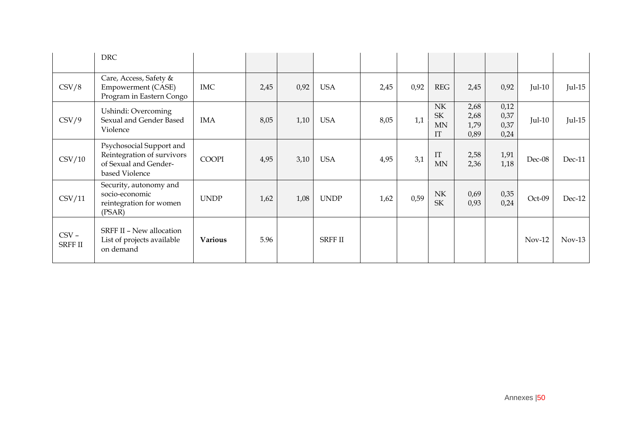|                           | <b>DRC</b>                                                                                        |                |      |      |                |      |      |                                              |                              |                              |          |          |
|---------------------------|---------------------------------------------------------------------------------------------------|----------------|------|------|----------------|------|------|----------------------------------------------|------------------------------|------------------------------|----------|----------|
| CSV/8                     | Care, Access, Safety &<br><b>Empowerment (CASE)</b><br>Program in Eastern Congo                   | <b>IMC</b>     | 2,45 | 0,92 | <b>USA</b>     | 2,45 | 0,92 | <b>REG</b>                                   | 2,45                         | 0,92                         | $Jul-10$ | $Jul-15$ |
| $\text{CSV}/9$            | Ushindi: Overcoming<br>Sexual and Gender Based<br>Violence                                        | <b>IMA</b>     | 8,05 | 1,10 | <b>USA</b>     | 8,05 | 1,1  | NK<br><b>SK</b><br><b>MN</b><br>IT           | 2,68<br>2,68<br>1,79<br>0,89 | 0,12<br>0,37<br>0,37<br>0,24 | $Jul-10$ | $Jul-15$ |
| CSV/10                    | Psychosocial Support and<br>Reintegration of survivors<br>of Sexual and Gender-<br>based Violence | <b>COOPI</b>   | 4,95 | 3,10 | <b>USA</b>     | 4,95 | 3,1  | IT<br><b>MN</b>                              | 2,58<br>2,36                 | 1,91<br>1,18                 | Dec-08   | Dec-11   |
| CSV/11                    | Security, autonomy and<br>socio-economic<br>reintegration for women<br>(PSAR)                     | <b>UNDP</b>    | 1,62 | 1,08 | <b>UNDP</b>    | 1,62 | 0,59 | $\ensuremath{\text{NK}}\xspace$<br><b>SK</b> | 0,69<br>0,93                 | 0,35<br>0,24                 | Oct-09   | $Dec-12$ |
| $CSV -$<br><b>SRFF II</b> | SRFF II - New allocation<br>List of projects available<br>on demand                               | <b>Various</b> | 5.96 |      | <b>SRFF II</b> |      |      |                                              |                              |                              | $Nov-12$ | $Nov-13$ |